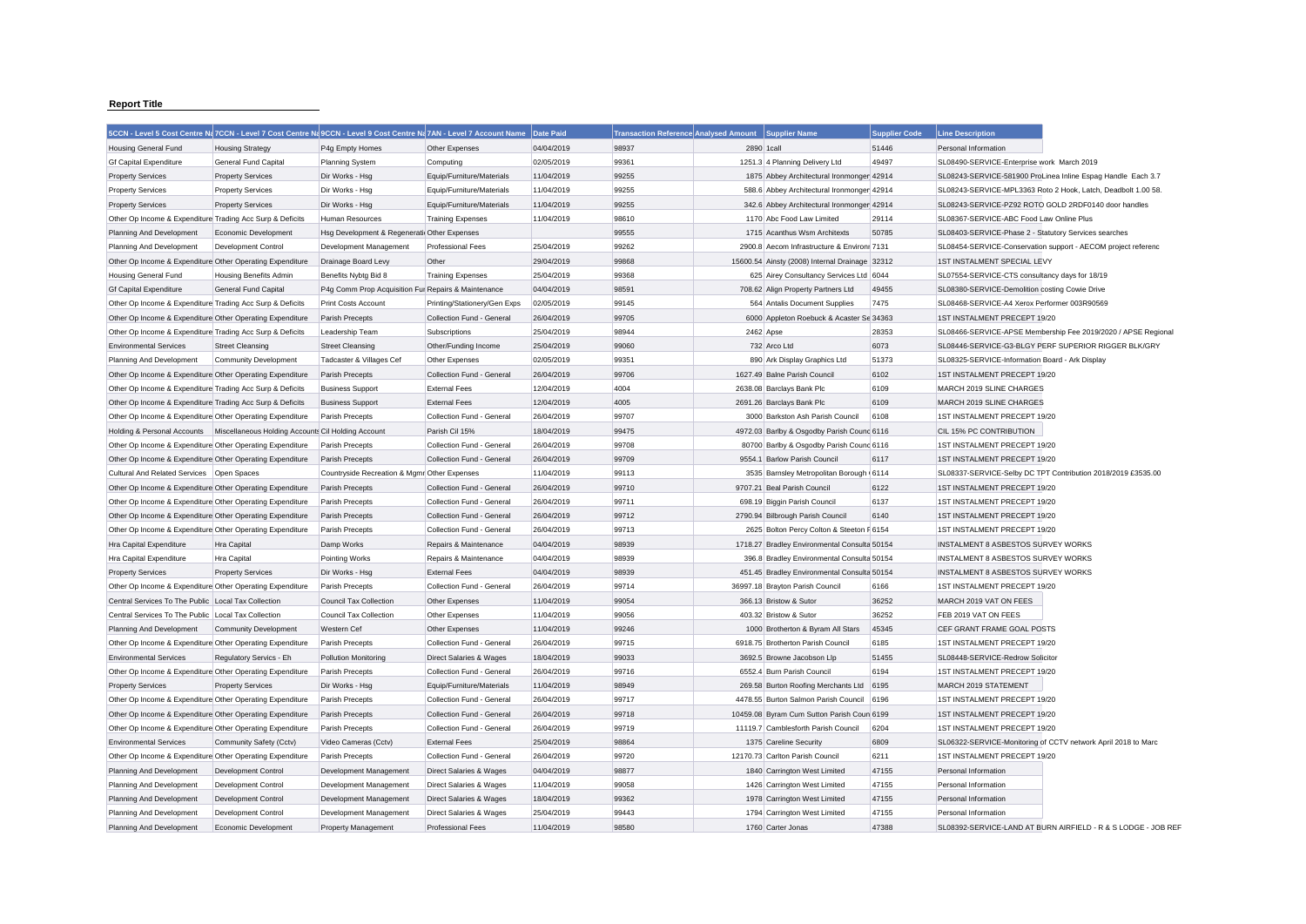## **Report Title**

|                                                           | 5CCN - Level 5 Cost Centre Na 7CCN - Level 7 Cost Centre Na 9CCN - Level 9 Cost Centre Na 7AN - Level 7 Account Name |                                                     |                                    | Date Paid  | <b>Transaction Reference Analysed Amount</b> | <b>Supplier Name</b>                           | <b>Supplier Code</b> | <b>Line Description</b>                               |                                                               |
|-----------------------------------------------------------|----------------------------------------------------------------------------------------------------------------------|-----------------------------------------------------|------------------------------------|------------|----------------------------------------------|------------------------------------------------|----------------------|-------------------------------------------------------|---------------------------------------------------------------|
| <b>Housing General Fund</b>                               | <b>Housing Strategy</b>                                                                                              | P4g Empty Homes                                     | Other Expenses                     | 04/04/2019 | 98937                                        | 2890 1call                                     | 51446                | Personal Information                                  |                                                               |
| <b>Gf Capital Expenditure</b>                             | General Fund Capital                                                                                                 | Planning System                                     | Computing                          | 02/05/2019 | 99361                                        | 1251.3 4 Planning Delivery Ltd                 | 49497                | SL08490-SERVICE-Enterprise work March 2019            |                                                               |
| <b>Property Services</b>                                  | <b>Property Services</b>                                                                                             | Dir Works - Hsg                                     | Equip/Furniture/Materials          | 11/04/2019 | 99255                                        | 1875 Abbey Architectural Ironmonger 42914      |                      |                                                       | SL08243-SERVICE-581900 ProLinea Inline Espag Handle Each 3.7  |
| <b>Property Services</b>                                  | <b>Property Services</b>                                                                                             | Dir Works - Hsg                                     | Equip/Furniture/Materials          | 11/04/2019 | 99255                                        | 588.6 Abbey Architectural Ironmonger 42914     |                      |                                                       | SL08243-SERVICE-MPL3363 Roto 2 Hook, Latch, Deadbolt 1.00 58. |
| <b>Property Services</b>                                  | <b>Property Services</b>                                                                                             | Dir Works - Hsg                                     | Equip/Furniture/Materials          | 11/04/2019 | 99255                                        | 342.6 Abbey Architectural Ironmonger 42914     |                      | SL08243-SERVICE-PZ92 ROTO GOLD 2RDF0140 door handles  |                                                               |
| Other Op Income & Expenditure Trading Acc Surp & Deficits |                                                                                                                      | Human Resources                                     | <b>Training Expenses</b>           | 11/04/2019 | 98610                                        | 1170 Abc Food Law Limited                      | 29114                | SL08367-SERVICE-ABC Food Law Online Plus              |                                                               |
| Planning And Development                                  | Economic Development                                                                                                 | Hsg Development & Regeneratii Other Expenses        |                                    |            | 99555                                        | 1715 Acanthus Wsm Architexts                   | 50785                | SL08403-SERVICE-Phase 2 - Statutory Services searches |                                                               |
| Planning And Development                                  | Development Control                                                                                                  | Development Management                              | <b>Professional Fees</b>           | 25/04/2019 | 99262                                        | 2900.8 Aecom Infrastructure & Environr 7131    |                      |                                                       | SL08454-SERVICE-Conservation support - AECOM project referenc |
| Other Op Income & Expenditure Other Operating Expenditure |                                                                                                                      | Drainage Board Levy                                 | Other                              | 29/04/2019 | 99868                                        | 15600.54 Ainsty (2008) Internal Drainage 32312 |                      | 1ST INSTALMENT SPECIAL LEVY                           |                                                               |
| <b>Housing General Fund</b>                               | <b>Housing Benefits Admin</b>                                                                                        | Benefits Nybtg Bid 8                                | <b>Training Expenses</b>           | 25/04/2019 | 99368                                        | 625 Airey Consultancy Services Ltd 6044        |                      | SL07554-SERVICE-CTS consultancy days for 18/19        |                                                               |
| <b>Gf Capital Expenditure</b>                             | General Fund Capital                                                                                                 | P4g Comm Prop Acquisition Fur Repairs & Maintenance |                                    | 04/04/2019 | 98591                                        | 708.62 Align Property Partners Ltd             | 49455                | SL08380-SERVICE-Demolition costing Cowie Drive        |                                                               |
| Other Op Income & Expenditure Trading Acc Surp & Deficits |                                                                                                                      | <b>Print Costs Account</b>                          | Printing/Stationery/Gen Exps       | 02/05/2019 | 99145                                        | 564 Antalis Document Supplies                  | 7475                 | SL08468-SERVICE-A4 Xerox Performer 003R90569          |                                                               |
| Other Op Income & Expenditure Other Operating Expenditure |                                                                                                                      | Parish Precepts                                     | Collection Fund - General          | 26/04/2019 | 99705                                        | 6000 Appleton Roebuck & Acaster Se 34363       |                      | 1ST INSTALMENT PRECEPT 19/20                          |                                                               |
| Other Op Income & Expenditure Trading Acc Surp & Deficits |                                                                                                                      | Leadership Team                                     | Subscriptions                      | 25/04/2019 | 98944                                        | 2462 Apse                                      | 28353                |                                                       | SL08466-SERVICE-APSE Membership Fee 2019/2020 / APSE Regional |
| <b>Environmental Services</b>                             | <b>Street Cleansing</b>                                                                                              | <b>Street Cleansing</b>                             | Other/Funding Income               | 25/04/2019 | 99060                                        | 732 Arco Ltd                                   | 6073                 |                                                       | SL08446-SERVICE-G3-BLGY PERF SUPERIOR RIGGER BLK/GRY          |
| Planning And Development                                  | <b>Community Development</b>                                                                                         | Tadcaster & Villages Cef                            | Other Expenses                     | 02/05/2019 | 99351                                        | 890 Ark Display Graphics Ltd                   | 51373                | SL08325-SERVICE-Information Board - Ark Display       |                                                               |
| Other Op Income & Expenditure Other Operating Expenditure |                                                                                                                      | Parish Precepts                                     | Collection Fund - General          | 26/04/2019 | 99706                                        | 1627.49 Balne Parish Council                   | 6102                 | 1ST INSTALMENT PRECEPT 19/20                          |                                                               |
| Other Op Income & Expenditure Trading Acc Surp & Deficits |                                                                                                                      | <b>Business Support</b>                             | <b>External Fees</b>               | 12/04/2019 | 4004                                         | 2638.08 Barclays Bank Plc                      | 6109                 | MARCH 2019 SLINE CHARGES                              |                                                               |
| Other Op Income & Expenditure Trading Acc Surp & Deficits |                                                                                                                      | <b>Business Support</b>                             | <b>External Fees</b>               | 12/04/2019 | 4005                                         | 2691.26 Barclays Bank Plc                      | 6109                 | MARCH 2019 SLINE CHARGES                              |                                                               |
| Other Op Income & Expenditure Other Operating Expenditure |                                                                                                                      | Parish Precepts                                     | Collection Fund - General          | 26/04/2019 | 99707                                        | 3000 Barkston Ash Parish Council               | 6108                 | 1ST INSTALMENT PRECEPT 19/20                          |                                                               |
|                                                           | Holding & Personal Accounts   Miscellaneous Holding Accounts Cil Holding Account                                     |                                                     | Parish Cil 15%                     | 18/04/2019 | 99475                                        | 4972.03 Barlby & Osgodby Parish Counc 6116     |                      | CIL 15% PC CONTRIBUTION                               |                                                               |
| Other Op Income & Expenditure Other Operating Expenditure |                                                                                                                      | Parish Precepts                                     | Collection Fund - General          | 26/04/2019 | 99708                                        | 80700 Barlby & Osgodby Parish Counc 6116       |                      | 1ST INSTALMENT PRECEPT 19/20                          |                                                               |
| Other Op Income & Expenditure Other Operating Expenditure |                                                                                                                      | Parish Precepts                                     | Collection Fund - General          | 26/04/2019 | 99709                                        | 9554.1 Barlow Parish Council                   | 6117                 | 1ST INSTALMENT PRECEPT 19/20                          |                                                               |
| Cultural And Related Services Open Spaces                 |                                                                                                                      | Countryside Recreation & Mgmr Other Expenses        |                                    | 11/04/2019 | 99113                                        | 3535 Barnsley Metropolitan Borough 6114        |                      |                                                       | SL08337-SERVICE-Selby DC TPT Contribution 2018/2019 £3535.00  |
| Other Op Income & Expenditure Other Operating Expenditure |                                                                                                                      | <b>Parish Precepts</b>                              | Collection Fund - General          | 26/04/2019 | 99710                                        | 9707.21 Beal Parish Council                    | 6122                 | 1ST INSTALMENT PRECEPT 19/20                          |                                                               |
| Other Op Income & Expenditure Other Operating Expenditure |                                                                                                                      | Parish Precepts                                     | Collection Fund - General          | 26/04/2019 | 99711                                        | 698.19 Biggin Parish Council                   | 6137                 | 1ST INSTALMENT PRECEPT 19/20                          |                                                               |
| Other Op Income & Expenditure Other Operating Expenditure |                                                                                                                      | Parish Precepts                                     | Collection Fund - General          | 26/04/2019 | 99712                                        | 2790.94 Bilbrough Parish Council               | 6140                 | 1ST INSTALMENT PRECEPT 19/20                          |                                                               |
| Other Op Income & Expenditure Other Operating Expenditure |                                                                                                                      | Parish Precepts                                     | Collection Fund - General          | 26/04/2019 | 99713                                        | 2625 Bolton Percy Colton & Steeton F 6154      |                      | 1ST INSTALMENT PRECEPT 19/20                          |                                                               |
| Hra Capital Expenditure                                   | Hra Capital                                                                                                          | Damp Works                                          | Repairs & Maintenance              | 04/04/2019 | 98939                                        | 1718.27 Bradley Environmental Consulta 50154   |                      | INSTALMENT 8 ASBESTOS SURVEY WORKS                    |                                                               |
| Hra Capital Expenditure                                   | Hra Capital                                                                                                          | Pointing Works                                      | Repairs & Maintenance              | 04/04/2019 | 98939                                        | 396.8 Bradley Environmental Consulta 50154     |                      | INSTALMENT 8 ASBESTOS SURVEY WORKS                    |                                                               |
| <b>Property Services</b>                                  | <b>Property Services</b>                                                                                             | Dir Works - Hsg                                     | <b>External Fees</b>               | 04/04/2019 | 98939                                        | 451.45 Bradley Environmental Consulta 50154    |                      | INSTALMENT 8 ASBESTOS SURVEY WORKS                    |                                                               |
| Other Op Income & Expenditure Other Operating Expenditure |                                                                                                                      | Parish Precepts                                     | Collection Fund - General          | 26/04/2019 | 99714                                        | 36997.18 Brayton Parish Council                | 6166                 | 1ST INSTALMENT PRECEPT 19/20                          |                                                               |
| Central Services To The Public Local Tax Collection       |                                                                                                                      | <b>Council Tax Collection</b>                       | Other Expenses                     | 11/04/2019 | 99054                                        | 366.13 Bristow & Sutor                         | 36252                | MARCH 2019 VAT ON FEES                                |                                                               |
| Central Services To The Public Local Tax Collection       |                                                                                                                      | Council Tax Collection                              | Other Expenses                     | 11/04/2019 | 99056                                        | 403.32 Bristow & Sutor                         | 36252                | FEB 2019 VAT ON FEES                                  |                                                               |
| Planning And Development                                  | <b>Community Development</b>                                                                                         | Western Cef                                         | Other Expenses                     | 11/04/2019 | 99246                                        | 1000 Brotherton & Byram All Stars              | 45345                | CEF GRANT FRAME GOAL POSTS                            |                                                               |
| Other Op Income & Expenditure Other Operating Expenditure |                                                                                                                      | Parish Precepts                                     | Collection Fund - General          | 26/04/2019 | 99715                                        | 6918.75 Brotherton Parish Council              | 6185                 | 1ST INSTALMENT PRECEPT 19/20                          |                                                               |
| <b>Environmental Services</b>                             | Regulatory Servics - Eh                                                                                              | <b>Pollution Monitoring</b>                         | Direct Salaries & Wages            | 18/04/2019 | 99033                                        | 3692.5 Browne Jacobson Llp                     | 51455                | SL08448-SERVICE-Redrow Solicitor                      |                                                               |
| Other Op Income & Expenditure Other Operating Expenditure |                                                                                                                      | Parish Precepts                                     | Collection Fund - General          | 26/04/2019 | 99716                                        | 6552.4 Burn Parish Council                     | 6194                 | 1ST INSTALMENT PRECEPT 19/20                          |                                                               |
| <b>Property Services</b>                                  | <b>Property Services</b>                                                                                             | Dir Works - Hsg                                     | Equip/Furniture/Materials          | 11/04/2019 | 98949                                        | 269.58 Burton Roofing Merchants Ltd            | 6195                 | MARCH 2019 STATEMENT                                  |                                                               |
| Other Op Income & Expenditure Other Operating Expenditure |                                                                                                                      | Parish Precepts                                     | Collection Fund - General          | 26/04/2019 | 99717                                        | 4478.55 Burton Salmon Parish Council           | 6196                 | 1ST INSTALMENT PRECEPT 19/20                          |                                                               |
| Other Op Income & Expenditure Other Operating Expenditure |                                                                                                                      | Parish Precepts                                     | Collection Fund - General          | 26/04/2019 | 99718                                        | 10459.08 Byram Cum Sutton Parish Coun 6199     |                      | 1ST INSTALMENT PRECEPT 19/20                          |                                                               |
| Other Op Income & Expenditure Other Operating Expenditure |                                                                                                                      | Parish Precepts                                     | Collection Fund - General          | 26/04/2019 | 99719                                        | 11119.7 Camblesforth Parish Council            | 6204                 | 1ST INSTALMENT PRECEPT 19/20                          |                                                               |
| <b>Environmental Services</b>                             | Community Safety (Cctv)                                                                                              | Video Cameras (Cctv)                                | <b>External Fees</b>               | 25/04/2019 | 98864                                        | 1375 Careline Security                         | 6809                 |                                                       | SL06322-SERVICE-Monitoring of CCTV network April 2018 to Marc |
| Other Op Income & Expenditure Other Operating Expenditure |                                                                                                                      | Parish Precepts                                     | Collection Fund - General          | 26/04/2019 | 99720                                        | 12170.73 Carlton Parish Council                | 6211                 | 1ST INSTALMENT PRECEPT 19/20                          |                                                               |
| Planning And Development                                  | Development Control                                                                                                  | Development Management                              | Direct Salaries & Wages            | 04/04/2019 | 98877                                        | 1840 Carrington West Limited                   | 47155                | Personal Information                                  |                                                               |
| Planning And Development                                  | Development Control                                                                                                  | Development Management                              | Direct Salaries & Wages            | 11/04/2019 | 99058                                        | 1426 Carrington West Limited                   | 47155                | Personal Information                                  |                                                               |
| Planning And Development                                  | <b>Development Control</b>                                                                                           | Development Management                              | Direct Salaries & Wages            | 18/04/2019 | 99362                                        | 1978 Carrington West Limited                   | 47155                | Personal Information                                  |                                                               |
| Planning And Development                                  | <b>Development Control</b>                                                                                           | Development Management                              | <b>Direct Salaries &amp; Wages</b> | 25/04/2019 | 99443                                        | 1794 Carrington West Limited                   | 47155                | Personal Information                                  |                                                               |
| Planning And Development                                  | Economic Development                                                                                                 | Property Management                                 | <b>Professional Fees</b>           | 11/04/2019 | 98580                                        | 1760 Carter Jonas                              | 47388                |                                                       | SL08392-SERVICE-LAND AT BURN AIRFIELD - R & S LODGE - JOB REE |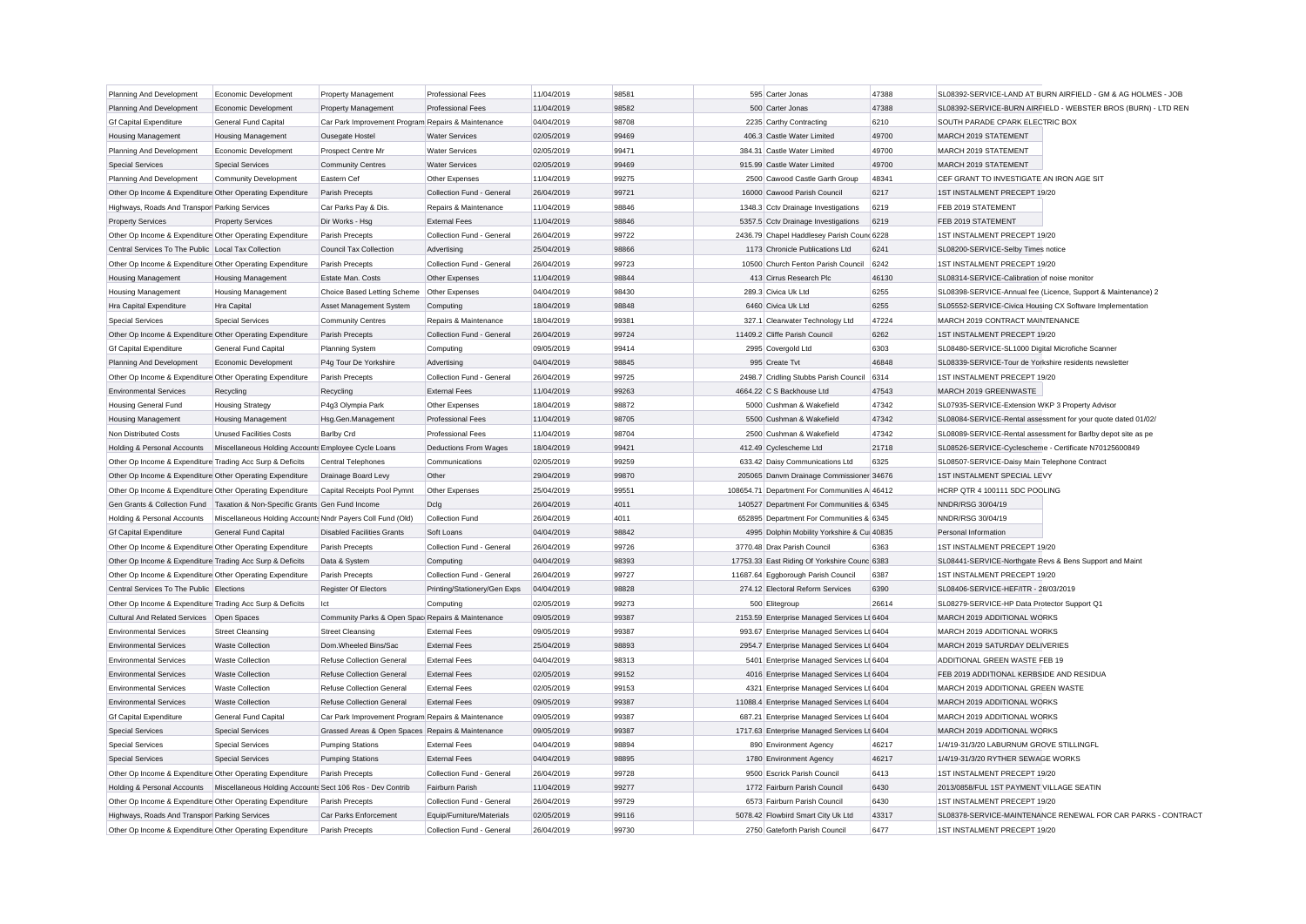| Planning And Development                                  | Economic Development                                                                  | Property Management                                | <b>Professional Fees</b>     | 11/04/2019 | 98581 | 595 Carter Jonas                             | 47388 | SL08392-SERVICE-LAND AT BURN AIRFIELD - GM & AG HOLMES - JOB  |
|-----------------------------------------------------------|---------------------------------------------------------------------------------------|----------------------------------------------------|------------------------------|------------|-------|----------------------------------------------|-------|---------------------------------------------------------------|
| Planning And Development                                  | Economic Development                                                                  | Property Management                                | <b>Professional Fees</b>     | 11/04/2019 | 98582 | 500 Carter Jonas                             | 47388 | SL08392-SERVICE-BURN AIRFIELD - WEBSTER BROS (BURN) - LTD REN |
| <b>Gf Capital Expenditure</b>                             | General Fund Capital                                                                  | Car Park Improvement Program Repairs & Maintenance |                              | 04/04/2019 | 98708 | 2235 Carthy Contracting                      | 6210  | SOUTH PARADE CPARK ELECTRIC BOX                               |
| <b>Housing Management</b>                                 | <b>Housing Management</b>                                                             | Ousegate Hostel                                    | <b>Water Services</b>        | 02/05/2019 | 99469 | 406.3 Castle Water Limited                   | 49700 | MARCH 2019 STATEMENT                                          |
| Planning And Development                                  | Economic Development                                                                  | Prospect Centre Mr                                 | <b>Water Services</b>        | 02/05/2019 | 99471 | 384.31 Castle Water Limited                  | 49700 | MARCH 2019 STATEMENT                                          |
| <b>Special Services</b>                                   | <b>Special Services</b>                                                               | <b>Community Centres</b>                           | <b>Water Services</b>        | 02/05/2019 | 99469 | 915.99 Castle Water Limited                  | 49700 | MARCH 2019 STATEMENT                                          |
| Planning And Development                                  | <b>Community Development</b>                                                          | Eastern Cef                                        | Other Expenses               | 11/04/2019 | 99275 | 2500 Cawood Castle Garth Group               | 48341 | CEF GRANT TO INVESTIGATE AN IRON AGE SIT                      |
| Other Op Income & Expenditure Other Operating Expenditure |                                                                                       | Parish Precepts                                    | Collection Fund - General    | 26/04/2019 | 99721 | 16000 Cawood Parish Council                  | 6217  | 1ST INSTALMENT PRECEPT 19/20                                  |
| Highways, Roads And Transpor Parking Services             |                                                                                       | Car Parks Pay & Dis.                               | Repairs & Maintenance        | 11/04/2019 | 98846 | 1348.3 Cctv Drainage Investigations          | 6219  | FEB 2019 STATEMENT                                            |
| <b>Property Services</b>                                  | <b>Property Services</b>                                                              | Dir Works - Hsg                                    | <b>External Fees</b>         | 11/04/2019 | 98846 | 5357.5 Cctv Drainage Investigations          | 6219  | FEB 2019 STATEMENT                                            |
| Other Op Income & Expenditure Other Operating Expenditure |                                                                                       | Parish Precepts                                    | Collection Fund - General    | 26/04/2019 | 99722 | 2436.79 Chapel Haddlesey Parish Cound 6228   |       | 1ST INSTALMENT PRECEPT 19/20                                  |
| Central Services To The Public Local Tax Collection       |                                                                                       | <b>Council Tax Collection</b>                      | Advertising                  | 25/04/2019 | 98866 | 1173 Chronicle Publications Ltd              | 6241  | SL08200-SERVICE-Selby Times notice                            |
| Other Op Income & Expenditure Other Operating Expenditure |                                                                                       | Parish Precepts                                    | Collection Fund - General    | 26/04/2019 | 99723 | 10500 Church Fenton Parish Council           | 6242  | 1ST INSTALMENT PRECEPT 19/20                                  |
| <b>Housing Management</b>                                 | <b>Housing Management</b>                                                             | Estate Man. Costs                                  | Other Expenses               | 11/04/2019 | 98844 | 413 Cirrus Research Plc                      | 46130 | SL08314-SERVICE-Calibration of noise monitor                  |
| <b>Housing Management</b>                                 | <b>Housing Management</b>                                                             | Choice Based Letting Scheme                        | Other Expenses               | 04/04/2019 | 98430 | 289.3 Civica Uk Ltd                          | 6255  | SL08398-SERVICE-Annual fee (Licence, Support & Maintenance) 2 |
| Hra Capital Expenditure                                   | <b>Hra Capital</b>                                                                    | Asset Management System                            | Computing                    | 18/04/2019 | 98848 | 6460 Civica Uk Ltd                           | 6255  | SL05552-SERVICE-Civica Housing CX Software Implementation     |
| <b>Special Services</b>                                   | <b>Special Services</b>                                                               | <b>Community Centres</b>                           | Repairs & Maintenance        | 18/04/2019 | 99381 | 327.1 Clearwater Technology Ltd              | 47224 | MARCH 2019 CONTRACT MAINTENANCE                               |
| Other Op Income & Expenditure Other Operating Expenditure |                                                                                       | Parish Precepts                                    | Collection Fund - General    | 26/04/2019 | 99724 | 11409.2 Cliffe Parish Council                | 6262  | 1ST INSTALMENT PRECEPT 19/20                                  |
| <b>Gf Capital Expenditure</b>                             | <b>General Fund Capital</b>                                                           | Planning System                                    | Computing                    | 09/05/2019 | 99414 | 2995 Covergold Ltd                           | 6303  | SL08480-SERVICE-SL1000 Digital Microfiche Scanner             |
| Planning And Development                                  | Economic Development                                                                  | P4g Tour De Yorkshire                              | Advertising                  | 04/04/2019 | 98845 | 995 Create Tvt                               | 46848 | SL08339-SERVICE-Tour de Yorkshire residents newsletter        |
| Other Op Income & Expenditure Other Operating Expenditure |                                                                                       | Parish Precepts                                    | Collection Fund - General    | 26/04/2019 | 99725 | 2498.7 Cridling Stubbs Parish Council 6314   |       | 1ST INSTALMENT PRECEPT 19/20                                  |
| <b>Environmental Services</b>                             | Recycling                                                                             | Recycling                                          | <b>External Fees</b>         | 11/04/2019 | 99263 | 4664.22 C S Backhouse Ltd                    | 47543 | MARCH 2019 GREENWASTE                                         |
| <b>Housing General Fund</b>                               | <b>Housing Strategy</b>                                                               | P4g3 Olympia Park                                  | Other Expenses               | 18/04/2019 | 98872 | 5000 Cushman & Wakefield                     | 47342 | SL07935-SERVICE-Extension WKP 3 Property Advisor              |
| <b>Housing Management</b>                                 | <b>Housing Management</b>                                                             | Hsg.Gen.Management                                 | <b>Professional Fees</b>     | 11/04/2019 | 98705 | 5500 Cushman & Wakefield                     | 47342 | SL08084-SERVICE-Rental assessment for your quote dated 01/02/ |
| Non Distributed Costs                                     | <b>Unused Facilities Costs</b>                                                        | <b>Barlby Crd</b>                                  | <b>Professional Fees</b>     | 11/04/2019 | 98704 | 2500 Cushman & Wakefield                     | 47342 | SL08089-SERVICE-Rental assessment for Barlby depot site as pe |
| Holding & Personal Accounts                               | Miscellaneous Holding Accounts Employee Cycle Loans                                   |                                                    | Deductions From Wages        | 18/04/2019 | 99421 | 412.49 Cyclescheme Ltd                       | 21718 | SL08526-SERVICE-Cyclescheme - Certificate N70125600849        |
| Other Op Income & Expenditure Trading Acc Surp & Deficits |                                                                                       | Central Telephones                                 | Communications               | 02/05/2019 | 99259 | 633.42 Daisy Communications Ltd              | 6325  | SL08507-SERVICE-Daisy Main Telephone Contract                 |
| Other Op Income & Expenditure Other Operating Expenditure |                                                                                       | Drainage Board Levy                                | Other                        | 29/04/2019 | 99870 | 205065 Danvm Drainage Commissioner 34676     |       | 1ST INSTALMENT SPECIAL LEVY                                   |
| Other Op Income & Expenditure Other Operating Expenditure |                                                                                       | Capital Receipts Pool Pymnt                        | Other Expenses               | 25/04/2019 | 99551 | 108654.71 Department For Communities A 46412 |       | HCRP QTR 4 100111 SDC POOLING                                 |
|                                                           | Gen Grants & Collection Fund Taxation & Non-Specific Grants Gen Fund Income           |                                                    | Dclg                         | 26/04/2019 | 4011  | 140527 Department For Communities & 6345     |       | NNDR/RSG 30/04/19                                             |
| Holding & Personal Accounts                               | Miscellaneous Holding Accounts Nndr Payers Coll Fund (Old)                            |                                                    | Collection Fund              | 26/04/2019 | 4011  | 652895 Department For Communities & 6345     |       | NNDR/RSG 30/04/19                                             |
| <b>Gf Capital Expenditure</b>                             | <b>General Fund Capital</b>                                                           | <b>Disabled Facilities Grants</b>                  | Soft Loans                   | 04/04/2019 | 98842 | 4995 Dolphin Mobility Yorkshire & Cui 40835  |       | Personal Information                                          |
| Other Op Income & Expenditure Other Operating Expenditure |                                                                                       | Parish Precepts                                    | Collection Fund - General    | 26/04/2019 | 99726 | 3770.48 Drax Parish Council                  | 6363  | 1ST INSTALMENT PRECEPT 19/20                                  |
| Other Op Income & Expenditure Trading Acc Surp & Deficits |                                                                                       | Data & System                                      | Computing                    | 04/04/2019 | 98393 | 17753.33 East Riding Of Yorkshire Counc 6383 |       | SL08441-SERVICE-Northgate Revs & Bens Support and Maint       |
| Other Op Income & Expenditure Other Operating Expenditure |                                                                                       | Parish Precepts                                    | Collection Fund - General    | 26/04/2019 | 99727 | 11687.64 Eggborough Parish Council           | 6387  | 1ST INSTALMENT PRECEPT 19/20                                  |
| Central Services To The Public Elections                  |                                                                                       | <b>Register Of Electors</b>                        | Printing/Stationery/Gen Exps | 04/04/2019 | 98828 | 274.12 Electoral Reform Services             | 6390  | SL08406-SERVICE-HEF/ITR - 28/03/2019                          |
| Other Op Income & Expenditure Trading Acc Surp & Deficits |                                                                                       | Ict                                                | Computing                    | 02/05/2019 | 99273 | 500 Elitegroup                               | 26614 | SL08279-SERVICE-HP Data Protector Support Q1                  |
| <b>Cultural And Related Services</b>                      | Open Spaces                                                                           | Community Parks & Open Spac Repairs & Maintenance  |                              | 09/05/2019 | 99387 | 2153.59 Enterprise Managed Services Lt 6404  |       | MARCH 2019 ADDITIONAL WORKS                                   |
| <b>Environmental Services</b>                             | <b>Street Cleansing</b>                                                               | <b>Street Cleansing</b>                            | <b>External Fees</b>         | 09/05/2019 | 99387 | 993.67 Enterprise Managed Services Lt 6404   |       | MARCH 2019 ADDITIONAL WORKS                                   |
| <b>Environmental Services</b>                             | <b>Waste Collection</b>                                                               | Dom.Wheeled Bins/Sac                               | <b>External Fees</b>         | 25/04/2019 | 98893 | 2954.7 Enterprise Managed Services Lt 6404   |       | MARCH 2019 SATURDAY DELIVERIES                                |
| <b>Environmental Services</b>                             | <b>Waste Collection</b>                                                               | Refuse Collection General                          | <b>External Fees</b>         | 04/04/2019 | 98313 | 5401 Enterprise Managed Services Lt 6404     |       | ADDITIONAL GREEN WASTE FEB 19                                 |
| <b>Environmental Services</b>                             | <b>Waste Collection</b>                                                               | <b>Refuse Collection General</b>                   | <b>External Fees</b>         | 02/05/2019 | 99152 | 4016 Enterprise Managed Services Lt 6404     |       | FEB 2019 ADDITIONAL KERBSIDE AND RESIDUA                      |
| <b>Environmental Services</b>                             | <b>Waste Collection</b>                                                               | <b>Refuse Collection General</b>                   | <b>External Fees</b>         | 02/05/2019 | 99153 | 4321 Enterprise Managed Services Lt 6404     |       | MARCH 2019 ADDITIONAL GREEN WASTE                             |
| <b>Environmental Services</b>                             | <b>Waste Collection</b>                                                               | <b>Refuse Collection General</b>                   | <b>External Fees</b>         | 09/05/2019 | 99387 | 11088.4 Enterprise Managed Services Lt 6404  |       | MARCH 2019 ADDITIONAL WORKS                                   |
| <b>Gf Capital Expenditure</b>                             | General Fund Capital                                                                  | Car Park Improvement Program Repairs & Maintenance |                              | 09/05/2019 | 99387 | 687.21 Enterprise Managed Services Lt 6404   |       | MARCH 2019 ADDITIONAL WORKS                                   |
| <b>Special Services</b>                                   | <b>Special Services</b>                                                               | Grassed Areas & Open Spaces Repairs & Maintenance  |                              | 09/05/2019 | 99387 | 1717.63 Enterprise Managed Services Lt 6404  |       | MARCH 2019 ADDITIONAL WORKS                                   |
| <b>Special Services</b>                                   | <b>Special Services</b>                                                               | <b>Pumping Stations</b>                            | <b>External Fees</b>         | 04/04/2019 | 98894 | 890 Environment Agency                       | 46217 | 1/4/19-31/3/20 LABURNUM GROVE STILLINGFL                      |
| <b>Special Services</b>                                   | <b>Special Services</b>                                                               | <b>Pumping Stations</b>                            | <b>External Fees</b>         | 04/04/2019 | 98895 | 1780 Environment Agency                      | 46217 | 1/4/19-31/3/20 RYTHER SEWAGE WORKS                            |
| Other Op Income & Expenditure Other Operating Expenditure |                                                                                       | Parish Precepts                                    | Collection Fund - General    | 26/04/2019 | 99728 | 9500 Escrick Parish Council                  | 6413  | 1ST INSTALMENT PRECEPT 19/20                                  |
|                                                           | Holding & Personal Accounts Miscellaneous Holding Accounts Sect 106 Ros - Dev Contrib |                                                    | Fairburn Parish              | 11/04/2019 | 99277 | 1772 Fairburn Parish Council                 | 6430  | 2013/0858/FUL 1ST PAYMENT VILLAGE SEATIN                      |
| Other Op Income & Expenditure Other Operating Expenditure |                                                                                       | Parish Precepts                                    | Collection Fund - General    | 26/04/2019 | 99729 | 6573 Fairburn Parish Council                 | 6430  | 1ST INSTALMENT PRECEPT 19/20                                  |
| Highways, Roads And Transpor Parking Services             |                                                                                       | Car Parks Enforcement                              | Equip/Furniture/Materials    | 02/05/2019 | 99116 | 5078.42 Flowbird Smart City Uk Ltd           | 43317 | SL08378-SERVICE-MAINTENANCE RENEWAL FOR CAR PARKS - CONTRACT  |
| Other Op Income & Expenditure Other Operating Expenditure |                                                                                       | Parish Precepts                                    | Collection Fund - General    | 26/04/2019 | 99730 | 2750 Gateforth Parish Council                | 6477  | 1ST INSTALMENT PRECEPT 19/20                                  |
|                                                           |                                                                                       |                                                    |                              |            |       |                                              |       |                                                               |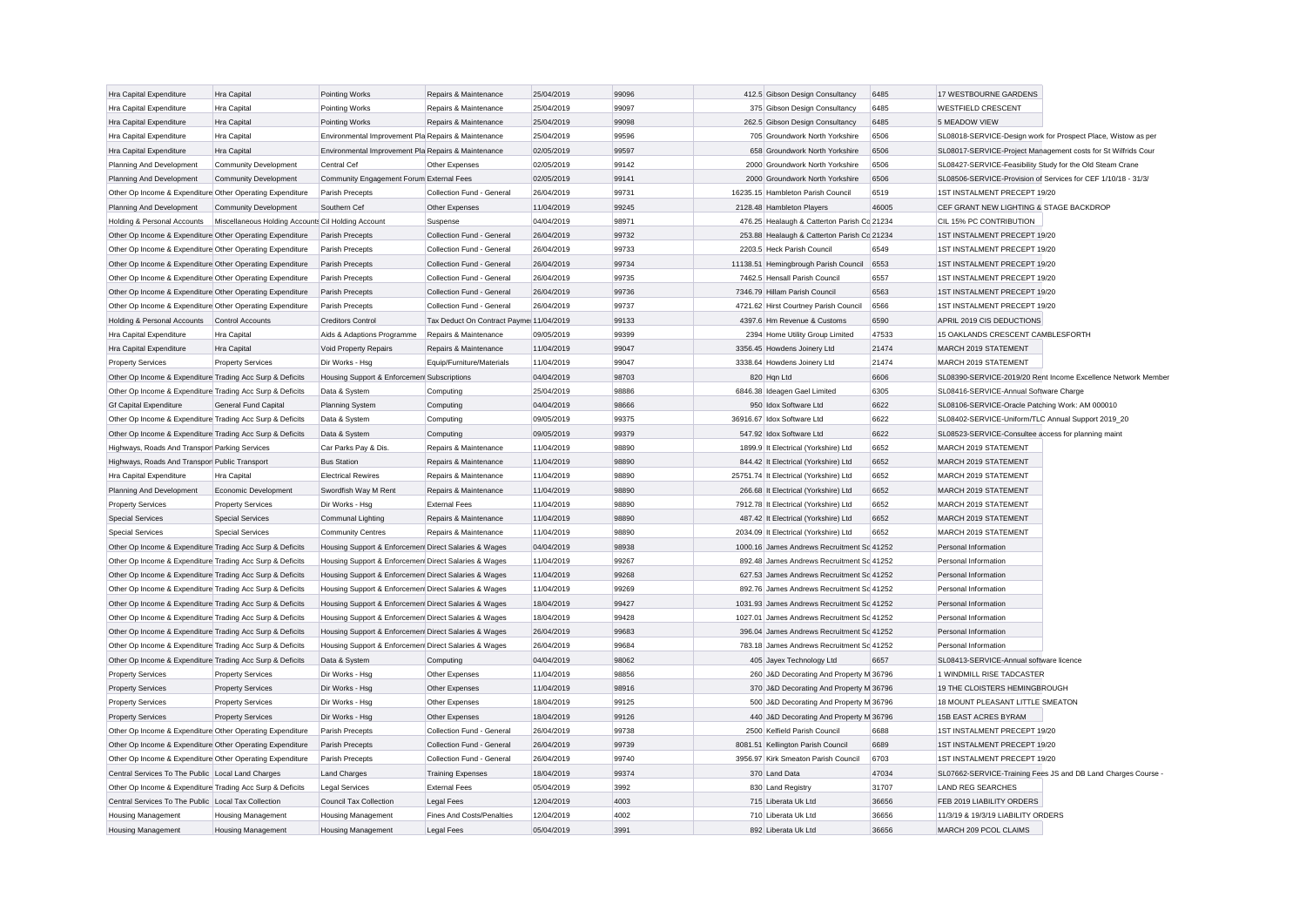| Hra Capital Expenditure                                   | Hra Capital                                        | Pointing Works                                       | Repairs & Maintenance                   | 25/04/2019 | 99096 | 412.5 Gibson Design Consultancy             | 6485  | 17 WESTBOURNE GARDENS                                         |                                                               |
|-----------------------------------------------------------|----------------------------------------------------|------------------------------------------------------|-----------------------------------------|------------|-------|---------------------------------------------|-------|---------------------------------------------------------------|---------------------------------------------------------------|
| <b>Hra Capital Expenditure</b>                            | Hra Capital                                        | Pointing Works                                       | Repairs & Maintenance                   | 25/04/2019 | 99097 | 375 Gibson Design Consultancy               | 6485  | <b>WESTFIELD CRESCENT</b>                                     |                                                               |
| Hra Capital Expenditure                                   | Hra Capital                                        | Pointing Works                                       | Repairs & Maintenance                   | 25/04/2019 | 99098 | 262.5 Gibson Design Consultancy             | 6485  | 5 MEADOW VIEW                                                 |                                                               |
| Hra Capital Expenditure                                   | Hra Capital                                        | Environmental Improvement Pla Repairs & Maintenance  |                                         | 25/04/2019 | 99596 | 705 Groundwork North Yorkshire              | 6506  |                                                               | SL08018-SERVICE-Design work for Prospect Place, Wistow as per |
| Hra Capital Expenditure                                   | Hra Capital                                        | Environmental Improvement Pla Repairs & Maintenance  |                                         | 02/05/2019 | 99597 | 658 Groundwork North Yorkshire              | 6506  |                                                               | SL08017-SERVICE-Project Management costs for St Wilfrids Cour |
| Planning And Development                                  | <b>Community Development</b>                       | Central Cef                                          | Other Expenses                          | 02/05/2019 | 99142 | 2000 Groundwork North Yorkshire             | 6506  | SL08427-SERVICE-Feasibility Study for the Old Steam Crane     |                                                               |
| Planning And Development                                  | <b>Community Development</b>                       | Community Engagement Forum External Fees             |                                         | 02/05/2019 | 99141 | 2000 Groundwork North Yorkshire             | 6506  | SL08506-SERVICE-Provision of Services for CEF 1/10/18 - 31/3/ |                                                               |
| Other Op Income & Expenditure Other Operating Expenditure |                                                    | Parish Precepts                                      | Collection Fund - General               | 26/04/2019 | 99731 | 16235.15 Hambleton Parish Council           | 6519  | 1ST INSTALMENT PRECEPT 19/20                                  |                                                               |
| Planning And Development                                  | <b>Community Development</b>                       | Southern Cef                                         | Other Expenses                          | 11/04/2019 | 99245 | 2128.48 Hambleton Players                   | 46005 | CEF GRANT NEW LIGHTING & STAGE BACKDROP                       |                                                               |
| Holding & Personal Accounts                               | Miscellaneous Holding Accounts Cil Holding Account |                                                      | Suspense                                | 04/04/2019 | 98971 | 476.25 Healaugh & Catterton Parish Co 21234 |       | CIL 15% PC CONTRIBUTION                                       |                                                               |
| Other Op Income & Expenditure Other Operating Expenditure |                                                    | Parish Precepts                                      | Collection Fund - General               | 26/04/2019 | 99732 | 253.88 Healaugh & Catterton Parish Co 21234 |       | 1ST INSTALMENT PRECEPT 19/20                                  |                                                               |
| Other Op Income & Expenditure Other Operating Expenditure |                                                    | Parish Precepts                                      | Collection Fund - General               | 26/04/2019 | 99733 | 2203.5 Heck Parish Council                  | 6549  | 1ST INSTALMENT PRECEPT 19/20                                  |                                                               |
| Other Op Income & Expenditure Other Operating Expenditure |                                                    | Parish Precepts                                      | Collection Fund - General               | 26/04/2019 | 99734 | 11138.51 Hemingbrough Parish Council        | 6553  | 1ST INSTALMENT PRECEPT 19/20                                  |                                                               |
| Other Op Income & Expenditure Other Operating Expenditure |                                                    | Parish Precepts                                      | Collection Fund - General               | 26/04/2019 | 99735 | 7462.5 Hensall Parish Council               | 6557  | 1ST INSTALMENT PRECEPT 19/20                                  |                                                               |
| Other Op Income & Expenditure Other Operating Expenditure |                                                    | Parish Precepts                                      | Collection Fund - General               | 26/04/2019 | 99736 | 7346.79 Hillam Parish Council               | 6563  | 1ST INSTALMENT PRECEPT 19/20                                  |                                                               |
| Other Op Income & Expenditure Other Operating Expenditure |                                                    | Parish Precepts                                      | Collection Fund - General               | 26/04/2019 | 99737 | 4721.62 Hirst Courtney Parish Council       | 6566  | 1ST INSTALMENT PRECEPT 19/20                                  |                                                               |
| Holding & Personal Accounts                               | Control Accounts                                   | <b>Creditors Control</b>                             | Tax Deduct On Contract Payme 11/04/2019 |            | 99133 | 4397.6 Hm Revenue & Customs                 | 6590  | APRIL 2019 CIS DEDUCTIONS                                     |                                                               |
| <b>Hra Capital Expenditure</b>                            | Hra Capital                                        | Aids & Adaptions Programme                           | Repairs & Maintenance                   | 09/05/2019 | 99399 | 2394 Home Utility Group Limited             | 47533 | 15 OAKLANDS CRESCENT CAMBLESFORTH                             |                                                               |
| Hra Capital Expenditure                                   | Hra Capital                                        | Void Property Repairs                                | Repairs & Maintenance                   | 11/04/2019 | 99047 | 3356.45 Howdens Joinery Ltd                 | 21474 | MARCH 2019 STATEMENT                                          |                                                               |
| <b>Property Services</b>                                  | <b>Property Services</b>                           | Dir Works - Hsg                                      | Equip/Furniture/Materials               | 11/04/2019 | 99047 | 3338.64 Howdens Joinery Ltd                 | 21474 | MARCH 2019 STATEMENT                                          |                                                               |
| Other Op Income & Expenditure Trading Acc Surp & Deficits |                                                    | Housing Support & Enforcemen Subscriptions           |                                         | 04/04/2019 | 98703 | 820 Hqn Ltd                                 | 6606  |                                                               | SL08390-SERVICE-2019/20 Rent Income Excellence Network Member |
| Other Op Income & Expenditure Trading Acc Surp & Deficits |                                                    | Data & System                                        | Computing                               | 25/04/2019 | 98886 | 6846.38 Ideagen Gael Limited                | 6305  | SL08416-SERVICE-Annual Software Charge                        |                                                               |
| <b>Gf Capital Expenditure</b>                             | General Fund Capital                               |                                                      | Computing                               | 04/04/2019 | 98666 | 950 Idox Software Ltd                       | 6622  | SL08106-SERVICE-Oracle Patching Work: AM 000010               |                                                               |
|                                                           |                                                    | <b>Planning System</b>                               |                                         |            | 99375 |                                             | 6622  |                                                               |                                                               |
| Other Op Income & Expenditure Trading Acc Surp & Deficits |                                                    | Data & System                                        | Computing                               | 09/05/2019 |       | 36916.67 Idox Software Ltd                  |       | SL08402-SERVICE-Uniform/TLC Annual Support 2019 20            |                                                               |
| Other Op Income & Expenditure Trading Acc Surp & Deficits |                                                    | Data & System                                        | Computing                               | 09/05/2019 | 99379 | 547.92 Idox Software Ltd                    | 6622  | SL08523-SERVICE-Consultee access for planning maint           |                                                               |
| Highways, Roads And Transpor Parking Services             |                                                    | Car Parks Pay & Dis.                                 | Repairs & Maintenance                   | 11/04/2019 | 98890 | 1899.9 It Electrical (Yorkshire) Ltd        | 6652  | MARCH 2019 STATEMENT                                          |                                                               |
| Highways, Roads And Transpor Public Transport             |                                                    | <b>Bus Station</b>                                   | Repairs & Maintenance                   | 11/04/2019 | 98890 | 844.42 It Electrical (Yorkshire) Ltd        | 6652  | MARCH 2019 STATEMENT                                          |                                                               |
| Hra Capital Expenditure                                   | Hra Capital                                        | <b>Electrical Rewires</b>                            | Repairs & Maintenance                   | 11/04/2019 | 98890 | 25751.74 It Electrical (Yorkshire) Ltd      | 6652  | MARCH 2019 STATEMENT                                          |                                                               |
| Planning And Development                                  | Economic Development                               | Swordfish Way M Rent                                 | Repairs & Maintenance                   | 11/04/2019 | 98890 | 266.68 It Electrical (Yorkshire) Ltd        | 6652  | MARCH 2019 STATEMENT                                          |                                                               |
| <b>Property Services</b>                                  | <b>Property Services</b>                           | Dir Works - Hsg                                      | <b>External Fees</b>                    | 11/04/2019 | 98890 | 7912.78 It Electrical (Yorkshire) Ltd       | 6652  | MARCH 2019 STATEMENT                                          |                                                               |
| <b>Special Services</b>                                   | <b>Special Services</b>                            | Communal Lighting                                    | Repairs & Maintenance                   | 11/04/2019 | 98890 | 487.42 It Electrical (Yorkshire) Ltd        | 6652  | MARCH 2019 STATEMENT                                          |                                                               |
| <b>Special Services</b>                                   | <b>Special Services</b>                            | <b>Community Centres</b>                             | Repairs & Maintenance                   | 11/04/2019 | 98890 | 2034.09 It Electrical (Yorkshire) Ltd       | 6652  | MARCH 2019 STATEMENT                                          |                                                               |
| Other Op Income & Expenditure Trading Acc Surp & Deficits |                                                    | Housing Support & Enforcemen Direct Salaries & Wages |                                         | 04/04/2019 | 98938 | 1000.16 James Andrews Recruitment Sc 41252  |       | Personal Information                                          |                                                               |
| Other Op Income & Expenditure Trading Acc Surp & Deficits |                                                    | Housing Support & Enforcemen Direct Salaries & Wages |                                         | 11/04/2019 | 99267 | 892.48 James Andrews Recruitment Sc 41252   |       | Personal Information                                          |                                                               |
| Other Op Income & Expenditure Trading Acc Surp & Deficits |                                                    | Housing Support & Enforcemen Direct Salaries & Wages |                                         | 11/04/2019 | 99268 | 627.53 James Andrews Recruitment Sc 41252   |       | Personal Information                                          |                                                               |
| Other Op Income & Expenditure Trading Acc Surp & Deficits |                                                    | Housing Support & Enforcemen Direct Salaries & Wages |                                         | 11/04/2019 | 99269 | 892.76 James Andrews Recruitment Sc 41252   |       | Personal Information                                          |                                                               |
| Other Op Income & Expenditure Trading Acc Surp & Deficits |                                                    | Housing Support & Enforcemen Direct Salaries & Wages |                                         | 18/04/2019 | 99427 | 1031.93 James Andrews Recruitment Sc 41252  |       | Personal Information                                          |                                                               |
| Other Op Income & Expenditure Trading Acc Surp & Deficits |                                                    | Housing Support & Enforcemen Direct Salaries & Wages |                                         | 18/04/2019 | 99428 | 1027.01 James Andrews Recruitment Sc 41252  |       | Personal Information                                          |                                                               |
| Other Op Income & Expenditure Trading Acc Surp & Deficits |                                                    | Housing Support & Enforcemen Direct Salaries & Wages |                                         | 26/04/2019 | 99683 | 396.04 James Andrews Recruitment Sc 41252   |       | Personal Information                                          |                                                               |
| Other Op Income & Expenditure Trading Acc Surp & Deficits |                                                    | Housing Support & Enforcemen Direct Salaries & Wages |                                         | 26/04/2019 | 99684 | 783.18 James Andrews Recruitment Sc 41252   |       | Personal Information                                          |                                                               |
| Other Op Income & Expenditure Trading Acc Surp & Deficits |                                                    | Data & System                                        | Computing                               | 04/04/2019 | 98062 | 405 Jayex Technology Ltd                    | 6657  | SL08413-SERVICE-Annual software licence                       |                                                               |
| <b>Property Services</b>                                  | <b>Property Services</b>                           | Dir Works - Hsg                                      | Other Expenses                          | 11/04/2019 | 98856 | 260 J&D Decorating And Property M 36796     |       | 1 WINDMILL RISE TADCASTER                                     |                                                               |
| <b>Property Services</b>                                  | <b>Property Services</b>                           | Dir Works - Hsg                                      | Other Expenses                          | 11/04/2019 | 98916 | 370 J&D Decorating And Property M 36796     |       | 19 THE CLOISTERS HEMINGBROUGH                                 |                                                               |
| <b>Property Services</b>                                  | <b>Property Services</b>                           | Dir Works - Hsg                                      | Other Expenses                          | 18/04/2019 | 99125 | 500 J&D Decorating And Property M 36796     |       | 18 MOUNT PLEASANT LITTLE SMEATON                              |                                                               |
| <b>Property Services</b>                                  | <b>Property Services</b>                           | Dir Works - Hsg                                      | Other Expenses                          | 18/04/2019 | 99126 | 440 J&D Decorating And Property M 36796     |       | 15B EAST ACRES BYRAM                                          |                                                               |
| Other Op Income & Expenditure Other Operating Expenditure |                                                    | Parish Precepts                                      | Collection Fund - General               | 26/04/2019 | 99738 | 2500 Kelfield Parish Council                | 6688  | 1ST INSTALMENT PRECEPT 19/20                                  |                                                               |
| Other Op Income & Expenditure Other Operating Expenditure |                                                    | Parish Precepts                                      | Collection Fund - General               | 26/04/2019 | 99739 | 8081.51 Kellington Parish Council           | 6689  | 1ST INSTALMENT PRECEPT 19/20                                  |                                                               |
| Other Op Income & Expenditure Other Operating Expenditure |                                                    | Parish Precepts                                      | Collection Fund - General               | 26/04/2019 | 99740 | 3956.97 Kirk Smeaton Parish Council         | 6703  | 1ST INSTALMENT PRECEPT 19/20                                  |                                                               |
| Central Services To The Public Local Land Charges         |                                                    | <b>Land Charges</b>                                  | <b>Training Expenses</b>                | 18/04/2019 | 99374 | 370 Land Data                               | 47034 |                                                               | SL07662-SERVICE-Training Fees JS and DB Land Charges Course   |
| Other Op Income & Expenditure Trading Acc Surp & Deficits |                                                    | <b>Legal Services</b>                                | <b>External Fees</b>                    | 05/04/2019 | 3992  | 830 Land Registry                           | 31707 | <b>LAND REG SEARCHES</b>                                      |                                                               |
| Central Services To The Public Local Tax Collection       |                                                    | <b>Council Tax Collection</b>                        | Legal Fees                              | 12/04/2019 | 4003  | 715 Liberata Uk Ltd                         | 36656 | FFB 2019 LIABILITY ORDERS                                     |                                                               |
| <b>Housing Management</b>                                 | <b>Housing Management</b>                          | <b>Housing Management</b>                            | Fines And Costs/Penalties               | 12/04/2019 | 4002  | 710 Liberata Uk Ltd                         | 36656 | 11/3/19 & 19/3/19 LIABILITY ORDERS                            |                                                               |
|                                                           | <b>Housing Management</b>                          | <b>Housing Management</b>                            | <b>Legal Fees</b>                       | 05/04/2019 | 3991  | 892 Liberata Uk Ltd                         | 36656 | MARCH 209 PCOL CLAIMS                                         |                                                               |
| <b>Housing Management</b>                                 |                                                    |                                                      |                                         |            |       |                                             |       |                                                               |                                                               |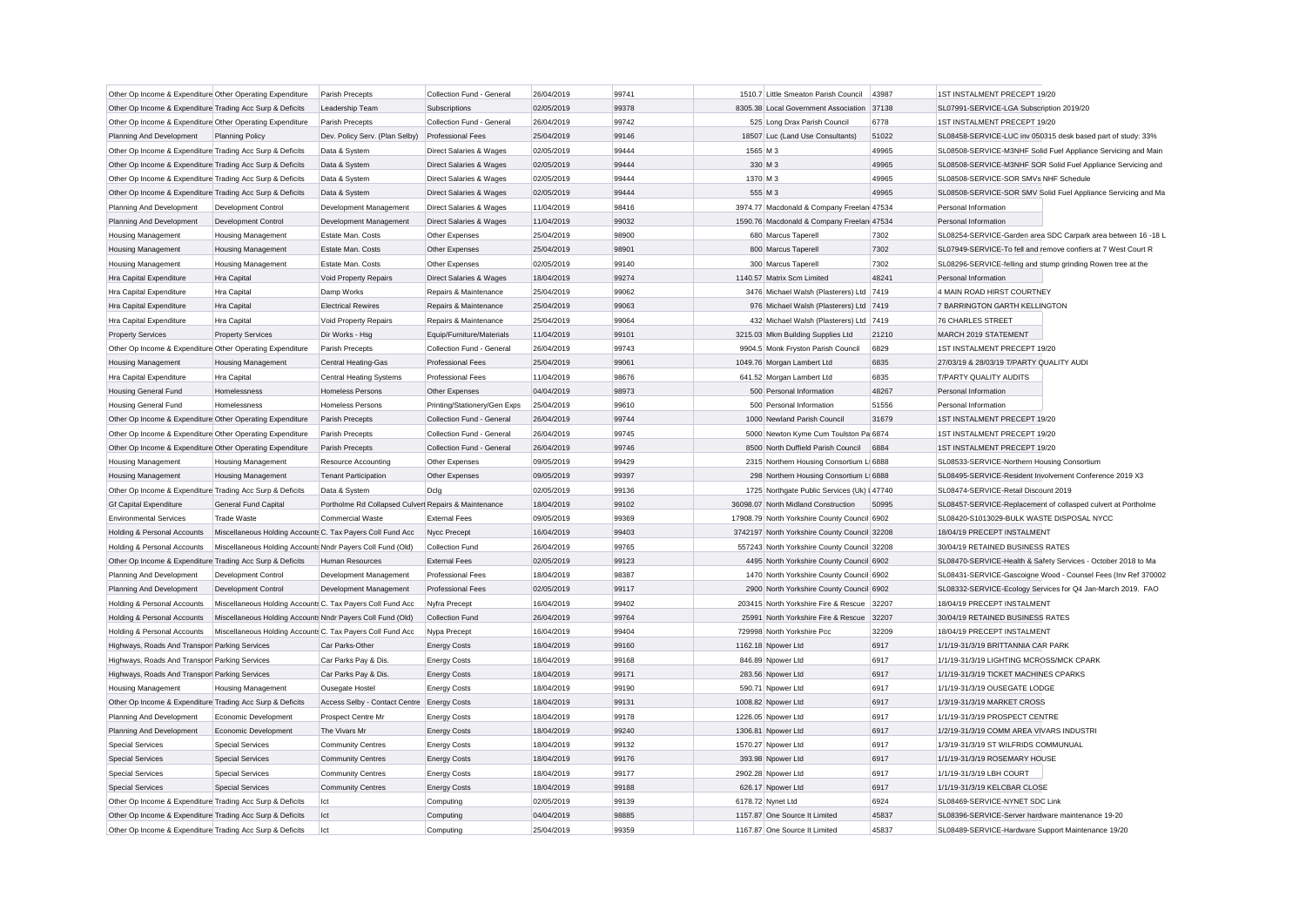| Other Op Income & Expenditure Other Operating Expenditure                             |                                                            | Parish Precepts                                      | Collection Fund - General          | 26/04/2019               | 99741 |          | 1510.7 Little Smeaton Parish Council         | 43987        | <b>1ST INSTALMENT PRECEPT 19/20</b>                                              |
|---------------------------------------------------------------------------------------|------------------------------------------------------------|------------------------------------------------------|------------------------------------|--------------------------|-------|----------|----------------------------------------------|--------------|----------------------------------------------------------------------------------|
| Other Op Income & Expenditure Trading Acc Surp & Deficits                             |                                                            | Leadership Team                                      | Subscriptions                      | 02/05/2019               | 99378 |          | 8305.38 Local Government Association         | 37138        | SL07991-SERVICE-LGA Subscription 2019/20                                         |
| Other Op Income & Expenditure Other Operating Expenditure                             |                                                            | Parish Precepts                                      | Collection Fund - General          | 26/04/2019               | 99742 |          | 525 Long Drax Parish Council                 | 6778         | 1ST INSTALMENT PRECEPT 19/20                                                     |
| Planning And Development                                                              | <b>Planning Policy</b>                                     | Dev. Policy Serv. (Plan Selby)                       | <b>Professional Fees</b>           | 25/04/2019               | 99146 |          | 18507 Luc (Land Use Consultants)             | 51022        | SL08458-SERVICE-LUC inv 050315 desk based part of study: 33%                     |
| Other Op Income & Expenditure Trading Acc Surp & Deficits                             |                                                            | Data & System                                        | Direct Salaries & Wages            | 02/05/2019               | 99444 | 1565 M 3 |                                              | 49965        | SL08508-SERVICE-M3NHF Solid Fuel Appliance Servicing and Main                    |
| Other Op Income & Expenditure Trading Acc Surp & Deficits                             |                                                            | Data & System                                        | Direct Salaries & Wages            | 02/05/2019               | 99444 | 330 M 3  |                                              | 49965        | SL08508-SERVICE-M3NHF SOR Solid Fuel Appliance Servicing and                     |
| Other Op Income & Expenditure Trading Acc Surp & Deficits                             |                                                            | Data & System                                        | Direct Salaries & Wages            | 02/05/2019               | 99444 | 1370 M 3 |                                              | 49965        | SL08508-SERVICE-SOR SMVs NHF Schedule                                            |
| Other Op Income & Expenditure Trading Acc Surp & Deficits                             |                                                            | Data & System                                        | <b>Direct Salaries &amp; Wages</b> | 02/05/2019               | 99444 | 555 M 3  |                                              | 49965        | SL08508-SERVICE-SOR SMV Solid Fuel Appliance Servicing and Ma                    |
| Planning And Development                                                              | Development Control                                        | Development Management                               | Direct Salaries & Wages            | 11/04/2019               | 98416 |          | 3974.77 Macdonald & Company Freelan 47534    |              | Personal Information                                                             |
| Planning And Development                                                              | Development Control                                        | Development Management                               | Direct Salaries & Wages            | 11/04/2019               | 99032 |          | 1590.76 Macdonald & Company Freelan 47534    |              | Personal Information                                                             |
| <b>Housing Management</b>                                                             | <b>Housing Management</b>                                  | Estate Man. Costs                                    | Other Expenses                     | 25/04/2019               | 98900 |          | 680 Marcus Taperell                          | 7302         | SL08254-SERVICE-Garden area SDC Carpark area between 16 -18 L                    |
| <b>Housing Management</b>                                                             | <b>Housing Management</b>                                  | Estate Man, Costs                                    | Other Expenses                     | 25/04/2019               | 98901 |          | 800 Marcus Taperell                          | 7302         | SL07949-SERVICE-To fell and remove confiers at 7 West Court R                    |
| <b>Housing Management</b>                                                             | Housing Management                                         | Estate Man. Costs                                    | Other Expenses                     | 02/05/2019               | 99140 |          | 300 Marcus Taperell                          | 7302         | SL08296-SERVICE-felling and stump grinding Rowen tree at the                     |
| Hra Capital Expenditure                                                               | Hra Capital                                                | Void Property Repairs                                | Direct Salaries & Wages            | 18/04/2019               | 99274 |          | 1140.57 Matrix Scm Limited                   | 48241        | Personal Information                                                             |
| Hra Capital Expenditure                                                               | Hra Capital                                                | Damp Works                                           | Repairs & Maintenance              | 25/04/2019               | 99062 |          | 3476 Michael Walsh (Plasterers) Ltd 7419     |              | 4 MAIN ROAD HIRST COURTNEY                                                       |
| Hra Capital Expenditure                                                               | Hra Capital                                                | <b>Electrical Rewires</b>                            | Repairs & Maintenance              | 25/04/2019               | 99063 |          | 976 Michael Walsh (Plasterers) Ltd 7419      |              | 7 BARRINGTON GARTH KELLINGTON                                                    |
| Hra Capital Expenditure                                                               | Hra Capital                                                | Void Property Repairs                                | Repairs & Maintenance              | 25/04/2019               | 99064 |          | 432 Michael Walsh (Plasterers) Ltd 7419      |              | <b>76 CHARLES STREET</b>                                                         |
| <b>Property Services</b>                                                              | <b>Property Services</b>                                   | Dir Works - Hsg                                      | Equip/Furniture/Materials          | 11/04/2019               | 99101 |          | 3215.03 Mkm Building Supplies Ltd            | 21210        | MARCH 2019 STATEMENT                                                             |
| Other Op Income & Expenditure Other Operating Expenditure                             |                                                            | Parish Precepts                                      | Collection Fund - General          | 26/04/2019               | 99743 |          | 9904.5 Monk Fryston Parish Council           | 6829         | 1ST INSTALMENT PRECEPT 19/20                                                     |
| <b>Housing Management</b>                                                             | Housing Management                                         | Central Heating-Gas                                  | <b>Professional Fees</b>           | 25/04/2019               | 99061 |          | 1049.76 Morgan Lambert Ltd                   | 6835         | 27/03/19 & 28/03/19 T/PARTY QUALITY AUDI                                         |
| Hra Capital Expenditure                                                               | Hra Capital                                                | <b>Central Heating Systems</b>                       | <b>Professional Fees</b>           | 11/04/2019               | 98676 |          | 641.52 Morgan Lambert Ltd                    | 6835         | T/PARTY QUALITY AUDITS                                                           |
| Housing General Fund                                                                  | Homelessness                                               | <b>Homeless Persons</b>                              | Other Expenses                     | 04/04/2019               | 98973 |          | 500 Personal Information                     | 48267        | Personal Information                                                             |
| <b>Housing General Fund</b>                                                           | Homelessness                                               | Homeless Persons                                     | Printing/Stationery/Gen Exps       | 25/04/2019               | 99610 |          | 500 Personal Information                     | 51556        | Personal Information                                                             |
| Other Op Income & Expenditure Other Operating Expenditure                             |                                                            | Parish Precepts                                      | Collection Fund - General          | 26/04/2019               | 99744 |          | 1000 Newland Parish Council                  | 31679        | 1ST INSTALMENT PRECEPT 19/20                                                     |
| Other Op Income & Expenditure Other Operating Expenditure                             |                                                            | Parish Precepts                                      | Collection Fund - General          | 26/04/2019               | 99745 |          | 5000 Newton Kyme Cum Toulston Pa 6874        |              | 1ST INSTALMENT PRECEPT 19/20                                                     |
| Other Op Income & Expenditure Other Operating Expenditure                             |                                                            | Parish Precepts                                      | Collection Fund - General          | 26/04/2019               | 99746 |          | 8500 North Duffield Parish Council           | 6884         | 1ST INSTALMENT PRECEPT 19/20                                                     |
| <b>Housing Management</b>                                                             | Housing Management                                         | <b>Resource Accounting</b>                           | Other Expenses                     | 09/05/2019               | 99429 |          | 2315 Northern Housing Consortium L 6888      |              | SL08533-SERVICE-Northern Housing Consortium                                      |
| <b>Housing Management</b>                                                             | Housing Management                                         | <b>Tenant Participation</b>                          | Other Expenses                     | 09/05/2019               | 99397 |          | 298 Northern Housing Consortium L 6888       |              | SL08495-SERVICE-Resident Involvement Conference 2019 X3                          |
| Other Op Income & Expenditure Trading Acc Surp & Deficits                             |                                                            | Data & System                                        | Dcla                               | 02/05/2019               | 99136 |          | 1725 Northgate Public Services (Uk) I 47740  |              | SL08474-SERVICE-Retail Discount 2019                                             |
| <b>Gf Capital Expenditure</b>                                                         | <b>General Fund Capital</b>                                | Portholme Rd Collapsed Culverl Repairs & Maintenance |                                    | 18/04/2019               | 99102 |          | 36098.07 North Midland Construction          | 50995        | SL08457-SERVICE-Replacement of collasped culvert at Portholme                    |
| <b>Environmental Services</b>                                                         | <b>Trade Waste</b>                                         | <b>Commercial Waste</b>                              | <b>External Fees</b>               | 09/05/2019               | 99369 |          | 17908.79 North Yorkshire County Council 6902 |              | SL08420-S1013029-BULK WASTE DISPOSAL NYCC                                        |
| Holding & Personal Accounts                                                           | Miscellaneous Holding Accounts C. Tax Payers Coll Fund Acc |                                                      | Nycc Precept                       | 16/04/2019               | 99403 |          | 3742197 North Yorkshire County Council 32208 |              | 18/04/19 PRECEPT INSTALMENT                                                      |
| Holding & Personal Accounts                                                           | Miscellaneous Holding Accounts Nndr Payers Coll Fund (Old) |                                                      | Collection Fund                    | 26/04/2019               | 99765 |          | 557243 North Yorkshire County Council 32208  |              | 30/04/19 RETAINED BUSINESS RATES                                                 |
| Other Op Income & Expenditure Trading Acc Surp & Deficits                             |                                                            | <b>Human Resources</b>                               | <b>External Fees</b>               | 02/05/2019               | 99123 |          | 4495 North Yorkshire County Council 6902     |              | SL08470-SERVICE-Health & Safety Services - October 2018 to Ma                    |
| Planning And Development                                                              | Development Control                                        | Development Management                               | <b>Professional Fees</b>           | 18/04/2019               | 98387 |          | 1470 North Yorkshire County Council 6902     |              | SL08431-SERVICE-Gascoigne Wood - Counsel Fees (Inv Ref 370002                    |
| Planning And Development                                                              | Development Control                                        | Development Management                               | <b>Professional Fees</b>           | 02/05/2019               | 99117 |          | 2900 North Yorkshire County Council 6902     |              | SL08332-SERVICE-Ecology Services for Q4 Jan-March 2019. FAO                      |
| Holding & Personal Accounts                                                           | Miscellaneous Holding Accounts C. Tax Payers Coll Fund Acc |                                                      | Nyfra Precept                      | 16/04/2019               | 99402 |          | 203415 North Yorkshire Fire & Rescue 32207   |              | 18/04/19 PRECEPT INSTALMENT                                                      |
| Holding & Personal Accounts                                                           | Miscellaneous Holding Accounts Nndr Payers Coll Fund (Old) |                                                      | Collection Fund                    | 26/04/2019               | 99764 |          | 25991 North Yorkshire Fire & Rescue 32207    |              | 30/04/19 RETAINED BUSINESS RATES                                                 |
| Holding & Personal Accounts                                                           | Miscellaneous Holding Accounts C. Tax Payers Coll Fund Acc |                                                      | Nypa Precept                       | 16/04/2019               | 99404 |          | 729998 North Yorkshire Pcc                   | 32209        | 18/04/19 PRECEPT INSTALMENT                                                      |
| Highways, Roads And Transpor Parking Services                                         |                                                            | Car Parks-Other                                      | <b>Energy Costs</b>                | 18/04/2019               | 99160 |          | 1162.18 Npower Ltd                           | 6917         | 1/1/19-31/3/19 BRITTANNIA CAR PARK                                               |
| Highways, Roads And Transpor Parking Services                                         |                                                            | Car Parks Pay & Dis.                                 | <b>Energy Costs</b>                | 18/04/2019               | 99168 |          | 846.89 Npower Ltd                            | 6917         | 1/1/19-31/3/19 LIGHTING MCROSS/MCK CPARK                                         |
| Highways, Roads And Transpor Parking Services                                         |                                                            | Car Parks Pay & Dis.                                 | <b>Energy Costs</b>                | 18/04/2019               | 99171 |          | 283.56 Npower Ltd                            | 6917         | 1/1/19-31/3/19 TICKET MACHINES CPARKS                                            |
| <b>Housing Management</b>                                                             | <b>Housing Management</b>                                  | Ousegate Hostel                                      | <b>Energy Costs</b>                | 18/04/2019               | 99190 |          | 590.71 Npower Ltd                            | 6917         | 1/1/19-31/3/19 OUSEGATE LODGE                                                    |
|                                                                                       |                                                            |                                                      |                                    | 18/04/2019               | 99131 |          | 1008.82 Npower Ltd                           | 6917         | 1/3/19-31/3/19 MARKET CROSS                                                      |
| Other Op Income & Expenditure Trading Acc Surp & Deficits<br>Planning And Development | Economic Development                                       | Access Selby - Contact Centre                        | <b>Energy Costs</b>                | 18/04/2019               | 99178 |          | 1226.05 Npower Ltd                           | 6917         | 1/1/19-31/3/19 PROSPECT CENTRE                                                   |
|                                                                                       |                                                            | Prospect Centre Mr                                   | <b>Energy Costs</b>                |                          | 99240 |          |                                              |              |                                                                                  |
| Planning And Development                                                              | Economic Development<br><b>Special Services</b>            | The Vivars Mr                                        | <b>Energy Costs</b>                | 18/04/2019<br>18/04/2019 | 99132 |          | 1306.81 Npower Ltd                           | 6917<br>6917 | 1/2/19-31/3/19 COMM AREA VIVARS INDUSTRI<br>1/3/19-31/3/19 ST WILFRIDS COMMUNUAL |
| <b>Special Services</b>                                                               |                                                            | <b>Community Centres</b>                             | <b>Energy Costs</b>                |                          |       |          | 1570.27 Npower Ltd                           |              |                                                                                  |
| <b>Special Services</b>                                                               | <b>Special Services</b>                                    | <b>Community Centres</b>                             | <b>Energy Costs</b>                | 18/04/2019               | 99176 |          | 393.98 Npower Ltd                            | 6917         | 1/1/19-31/3/19 ROSEMARY HOUSE                                                    |
| <b>Special Services</b>                                                               | <b>Special Services</b>                                    | <b>Community Centres</b>                             | <b>Energy Costs</b>                | 18/04/2019               | 99177 |          | 2902.28 Npower Ltd                           | 6917         | 1/1/19-31/3/19 LBH COURT                                                         |
| <b>Special Services</b>                                                               | <b>Special Services</b>                                    | <b>Community Centres</b>                             | <b>Energy Costs</b>                | 18/04/2019               | 99188 |          | 626.17 Npower Ltd                            | 6917         | 1/1/19-31/3/19 KELCBAR CLOSE                                                     |
| Other Op Income & Expenditure Trading Acc Surp & Deficits                             |                                                            | Ict                                                  | Computing                          | 02/05/2019               | 99139 |          | 6178.72 Nynet Ltd                            | 6924         | SL08469-SERVICE-NYNET SDC Link                                                   |
| Other Op Income & Expenditure Trading Acc Surp & Deficits                             |                                                            | Ict                                                  | Computing                          | 04/04/2019               | 98885 |          | 1157.87 One Source It Limited                | 45837        | SL08396-SERVICE-Server hardware maintenance 19-20                                |
| Other Op Income & Expenditure Trading Acc Surp & Deficits                             |                                                            | Ict                                                  | Computing                          | 25/04/2019               | 99359 |          | 1167.87 One Source It Limited                | 45837        | SL08489-SERVICE-Hardware Support Maintenance 19/20                               |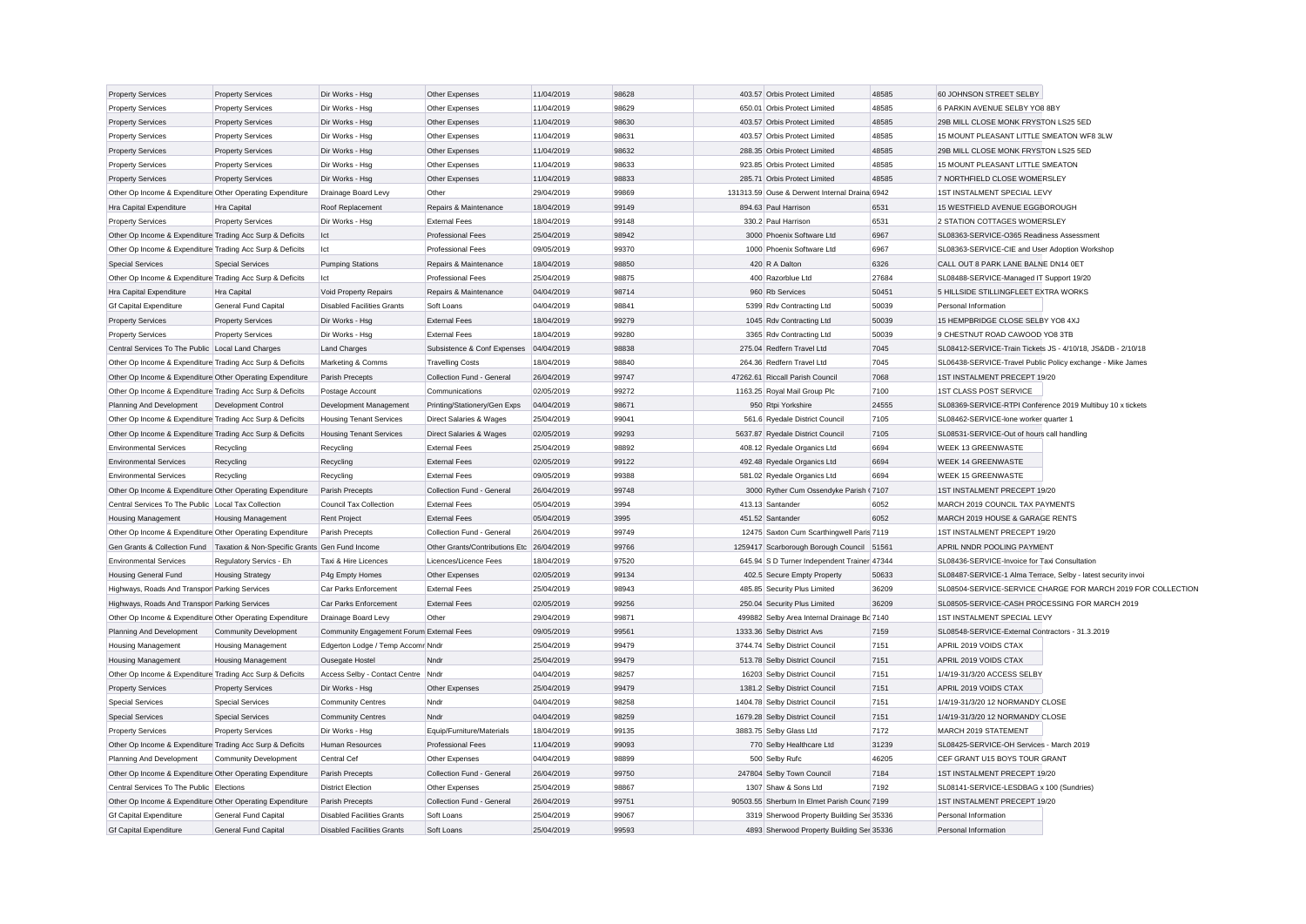| <b>Property Services</b>                                  | <b>Property Services</b>                       | Dir Works - Hsg                          | Other Expenses                     | 11/04/2019 | 98628 | 403.57 Orbis Protect Limited                  | 48585 | 60 JOHNSON STREET SELBY                                       |                                                              |
|-----------------------------------------------------------|------------------------------------------------|------------------------------------------|------------------------------------|------------|-------|-----------------------------------------------|-------|---------------------------------------------------------------|--------------------------------------------------------------|
| <b>Property Services</b>                                  | <b>Property Services</b>                       | Dir Works - Hsa                          | Other Expenses                     | 11/04/2019 | 98629 | 650.01 Orbis Protect Limited                  | 48585 | 6 PARKIN AVENUE SELBY YO8 8BY                                 |                                                              |
| <b>Property Services</b>                                  | <b>Property Services</b>                       | Dir Works - Hsg                          | Other Expenses                     | 11/04/2019 | 98630 | 403.57 Orbis Protect Limited                  | 48585 | 29B MILL CLOSE MONK FRYSTON LS25 5ED                          |                                                              |
| <b>Property Services</b>                                  | <b>Property Services</b>                       | Dir Works - Hsg                          | Other Expenses                     | 11/04/2019 | 98631 | 403.57 Orbis Protect Limited                  | 48585 | 15 MOUNT PLEASANT LITTLE SMEATON WF8 3LW                      |                                                              |
| <b>Property Services</b>                                  | <b>Property Services</b>                       | Dir Works - Hsg                          | Other Expenses                     | 11/04/2019 | 98632 | 288.35 Orbis Protect Limited                  | 48585 | 29B MILL CLOSE MONK FRYSTON LS25 5ED                          |                                                              |
| <b>Property Services</b>                                  | <b>Property Services</b>                       | Dir Works - Hsg                          | Other Expenses                     | 11/04/2019 | 98633 | 923.85 Orbis Protect Limited                  | 48585 | 15 MOUNT PLEASANT LITTLE SMEATON                              |                                                              |
| <b>Property Services</b>                                  | <b>Property Services</b>                       | Dir Works - Hsg                          | Other Expenses                     | 11/04/2019 | 98833 | 285.71 Orbis Protect Limited                  | 48585 | 7 NORTHFIELD CLOSE WOMERSLEY                                  |                                                              |
| Other Op Income & Expenditure Other Operating Expenditure |                                                | Drainage Board Levy                      | Other                              | 29/04/2019 | 99869 | 131313.59 Ouse & Derwent Internal Draina 6942 |       | 1ST INSTALMENT SPECIAL LEVY                                   |                                                              |
| Hra Capital Expenditure                                   | <b>Hra Capital</b>                             | Roof Replacement                         | Repairs & Maintenance              | 18/04/2019 | 99149 | 894.63 Paul Harrison                          | 6531  | 15 WESTFIELD AVENUE EGGBOROUGH                                |                                                              |
| <b>Property Services</b>                                  | <b>Property Services</b>                       | Dir Works - Hsg                          | <b>External Fees</b>               | 18/04/2019 | 99148 | 330.2 Paul Harrison                           | 6531  | 2 STATION COTTAGES WOMERSLEY                                  |                                                              |
| Other Op Income & Expenditure Trading Acc Surp & Deficits |                                                | Ict                                      | <b>Professional Fees</b>           | 25/04/2019 | 98942 | 3000 Phoenix Software Ltd                     | 6967  | SL08363-SERVICE-O365 Readiness Assessment                     |                                                              |
| Other Op Income & Expenditure Trading Acc Surp & Deficits |                                                | lct                                      | <b>Professional Fees</b>           | 09/05/2019 | 99370 | 1000 Phoenix Software Ltd                     | 6967  | SL08363-SERVICE-CIE and User Adoption Workshop                |                                                              |
| <b>Special Services</b>                                   | <b>Special Services</b>                        | <b>Pumping Stations</b>                  | Repairs & Maintenance              | 18/04/2019 | 98850 | 420 R A Dalton                                | 6326  | CALL OUT 8 PARK LANE BALNE DN14 0ET                           |                                                              |
| Other Op Income & Expenditure Trading Acc Surp & Deficits |                                                | Ict                                      | <b>Professional Fees</b>           | 25/04/2019 | 98875 | 400 Razorblue Ltd                             | 27684 | SL08488-SERVICE-Managed IT Support 19/20                      |                                                              |
| Hra Capital Expenditure                                   | Hra Capital                                    | Void Property Repairs                    | Repairs & Maintenance              | 04/04/2019 | 98714 | 960 Rb Services                               | 50451 | 5 HILLSIDE STILLINGFLEET EXTRA WORKS                          |                                                              |
| <b>Gf Capital Expenditure</b>                             | General Fund Capital                           | <b>Disabled Facilities Grants</b>        | Soft Loans                         | 04/04/2019 | 98841 | 5399 Rdv Contracting Ltd                      | 50039 | Personal Information                                          |                                                              |
| <b>Property Services</b>                                  | <b>Property Services</b>                       | Dir Works - Hsa                          | <b>External Fees</b>               | 18/04/2019 | 99279 | 1045 Rdv Contracting Ltd                      | 50039 | 15 HEMPBRIDGE CLOSE SELBY YO8 4XJ                             |                                                              |
| <b>Property Services</b>                                  | <b>Property Services</b>                       | Dir Works - Hsg                          | <b>External Fees</b>               | 18/04/2019 | 99280 | 3365 Rdv Contracting Ltd                      | 50039 | 9 CHESTNUT ROAD CAWOOD YO8 3TB                                |                                                              |
| Central Services To The Public Local Land Charges         |                                                | Land Charges                             | Subsistence & Conf Expenses        | 04/04/2019 | 98838 | 275.04 Redfern Travel Ltd                     | 7045  | SL08412-SERVICE-Train Tickets JS - 4/10/18, JS&DB - 2/10/18   |                                                              |
| Other Op Income & Expenditure Trading Acc Surp & Deficits |                                                | Marketing & Comms                        | <b>Travelling Costs</b>            | 18/04/2019 | 98840 | 264.36 Redfern Travel Ltd                     | 7045  | SL06438-SERVICE-Travel Public Policy exchange - Mike James    |                                                              |
| Other Op Income & Expenditure Other Operating Expenditure |                                                | Parish Precepts                          | Collection Fund - General          | 26/04/2019 | 99747 | 47262.61 Riccall Parish Council               | 7068  | 1ST INSTALMENT PRECEPT 19/20                                  |                                                              |
| Other Op Income & Expenditure Trading Acc Surp & Deficits |                                                |                                          | Communications                     | 02/05/2019 | 99272 | 1163.25 Royal Mail Group Plc                  | 7100  | 1ST CLASS POST SERVICE                                        |                                                              |
|                                                           |                                                | Postage Account                          |                                    |            |       |                                               |       |                                                               |                                                              |
| Planning And Development                                  | <b>Development Control</b>                     | Development Management                   | Printing/Stationery/Gen Exps       | 04/04/2019 | 98671 | 950 Rtpi Yorkshire                            | 24555 | SL08369-SERVICE-RTPI Conference 2019 Multibuy 10 x tickets    |                                                              |
| Other Op Income & Expenditure Trading Acc Surp & Deficits |                                                | <b>Housing Tenant Services</b>           | Direct Salaries & Wages            | 25/04/2019 | 99041 | 561.6 Ryedale District Council                | 7105  | SL08462-SERVICE-lone worker quarter 1                         |                                                              |
| Other Op Income & Expenditure Trading Acc Surp & Deficits |                                                | <b>Housing Tenant Services</b>           | <b>Direct Salaries &amp; Wages</b> | 02/05/2019 | 99293 | 5637.87 Ryedale District Council              | 7105  | SL08531-SERVICE-Out of hours call handling                    |                                                              |
| <b>Environmental Services</b>                             | Recycling                                      | Recycling                                | <b>External Fees</b>               | 25/04/2019 | 98892 | 408.12 Ryedale Organics Ltd                   | 6694  | <b>WEEK 13 GREENWASTE</b>                                     |                                                              |
| <b>Environmental Services</b>                             | Recycling                                      | Recycling                                | <b>External Fees</b>               | 02/05/2019 | 99122 | 492.48 Ryedale Organics Ltd                   | 6694  | <b>WEEK 14 GREENWASTE</b>                                     |                                                              |
| <b>Environmental Services</b>                             | Recycling                                      | Recycling                                | <b>External Fees</b>               | 09/05/2019 | 99388 | 581.02 Ryedale Organics Ltd                   | 6694  | <b>WEEK 15 GREENWASTE</b>                                     |                                                              |
| Other Op Income & Expenditure Other Operating Expenditure |                                                | Parish Precepts                          | Collection Fund - General          | 26/04/2019 | 99748 | 3000 Ryther Cum Ossendyke Parish (7107        |       | 1ST INSTALMENT PRECEPT 19/20                                  |                                                              |
| Central Services To The Public Local Tax Collection       |                                                | Council Tax Collection                   | <b>External Fees</b>               | 05/04/2019 | 3994  | 413.13 Santander                              | 6052  | MARCH 2019 COUNCIL TAX PAYMENTS                               |                                                              |
| <b>Housing Management</b>                                 | Housing Management                             | <b>Rent Project</b>                      | <b>External Fees</b>               | 05/04/2019 | 3995  | 451.52 Santander                              | 6052  | MARCH 2019 HOUSE & GARAGE RENTS                               |                                                              |
| Other Op Income & Expenditure Other Operating Expenditure |                                                | Parish Precepts                          | Collection Fund - General          | 26/04/2019 | 99749 | 12475 Saxton Cum Scarthingwell Paris 7119     |       | 1ST INSTALMENT PRECEPT 19/20                                  |                                                              |
| Gen Grants & Collection Fund                              | Taxation & Non-Specific Grants Gen Fund Income |                                          | Other Grants/Contributions Etc     | 26/04/2019 | 99766 | 1259417 Scarborough Borough Council           | 51561 | APRIL NNDR POOLING PAYMENT                                    |                                                              |
| <b>Environmental Services</b>                             | Regulatory Servics - Eh                        | Taxi & Hire Licences                     | Licences/Licence Fees              | 18/04/2019 | 97520 | 645.94 S D Turner Independent Trainer 47344   |       | SL08436-SERVICE-Invoice for Taxi Consultation                 |                                                              |
| Housing General Fund                                      | <b>Housing Strategy</b>                        | P4g Empty Homes                          | Other Expenses                     | 02/05/2019 | 99134 | 402.5 Secure Empty Property                   | 50633 | SL08487-SERVICE-1 Alma Terrace, Selby - latest security invoi |                                                              |
| Highways, Roads And Transpor Parking Services             |                                                | Car Parks Enforcement                    | <b>External Fees</b>               | 25/04/2019 | 98943 | 485.85 Security Plus Limited                  | 36209 |                                                               | SL08504-SERVICE-SERVICE CHARGE FOR MARCH 2019 FOR COLLECTION |
| Highways, Roads And Transpor Parking Services             |                                                | Car Parks Enforcement                    | <b>External Fees</b>               | 02/05/2019 | 99256 | 250.04 Security Plus Limited                  | 36209 | SL08505-SERVICE-CASH PROCESSING FOR MARCH 2019                |                                                              |
| Other Op Income & Expenditure Other Operating Expenditure |                                                | Drainage Board Levy                      | Other                              | 29/04/2019 | 99871 | 499882 Selby Area Internal Drainage Bc 7140   |       | 1ST INSTALMENT SPECIAL LEVY                                   |                                                              |
| Planning And Development                                  | <b>Community Development</b>                   | Community Engagement Forum External Fees |                                    | 09/05/2019 | 99561 | 1333.36 Selby District Avs                    | 7159  | SL08548-SERVICE-External Contractors - 31.3.2019              |                                                              |
| <b>Housing Management</b>                                 | <b>Housing Management</b>                      | Edgerton Lodge / Temp Accomr Nndr        |                                    | 25/04/2019 | 99479 | 3744.74 Selby District Council                | 7151  | APRIL 2019 VOIDS CTAX                                         |                                                              |
| <b>Housing Management</b>                                 | <b>Housing Management</b>                      | Ousegate Hostel                          | Nndr                               | 25/04/2019 | 99479 | 513.78 Selby District Council                 | 7151  | APRIL 2019 VOIDS CTAX                                         |                                                              |
| Other Op Income & Expenditure Trading Acc Surp & Deficits |                                                | Access Selby - Contact Centre Nndr       |                                    | 04/04/2019 | 98257 | 16203 Selby District Council                  | 7151  | 1/4/19-31/3/20 ACCESS SELBY                                   |                                                              |
| <b>Property Services</b>                                  | <b>Property Services</b>                       | Dir Works - Hsg                          | Other Expenses                     | 25/04/2019 | 99479 | 1381.2 Selby District Council                 | 7151  | APRIL 2019 VOIDS CTAX                                         |                                                              |
| <b>Special Services</b>                                   | <b>Special Services</b>                        | Community Centres                        | Nndr                               | 04/04/2019 | 98258 | 1404.78 Selby District Council                | 7151  | 1/4/19-31/3/20 12 NORMANDY CLOSE                              |                                                              |
| <b>Special Services</b>                                   | <b>Special Services</b>                        | <b>Community Centres</b>                 | Nndr                               | 04/04/2019 | 98259 | 1679.28 Selby District Council                | 7151  | 1/4/19-31/3/20 12 NORMANDY CLOSE                              |                                                              |
| <b>Property Services</b>                                  | <b>Property Services</b>                       | Dir Works - Hsg                          | Equip/Furniture/Materials          | 18/04/2019 | 99135 | 3883.75 Selby Glass Ltd                       | 7172  | MARCH 2019 STATEMENT                                          |                                                              |
| Other Op Income & Expenditure Trading Acc Surp & Deficits |                                                | Human Resources                          | <b>Professional Fees</b>           | 11/04/2019 | 99093 | 770 Selby Healthcare Ltd                      | 31239 | SL08425-SERVICE-OH Services - March 2019                      |                                                              |
| Planning And Development                                  | Community Development                          | Central Cef                              | Other Expenses                     | 04/04/2019 | 98899 | 500 Selby Rufc                                | 46205 | CEF GRANT U15 BOYS TOUR GRANT                                 |                                                              |
| Other Op Income & Expenditure Other Operating Expenditure |                                                | Parish Precepts                          | Collection Fund - General          | 26/04/2019 | 99750 | 247804 Selby Town Council                     | 7184  | 1ST INSTALMENT PRECEPT 19/20                                  |                                                              |
| Central Services To The Public Elections                  |                                                | <b>District Election</b>                 | Other Expenses                     | 25/04/2019 | 98867 | 1307 Shaw & Sons Ltd                          | 7192  | SL08141-SERVICE-LESDBAG x 100 (Sundries)                      |                                                              |
| Other Op Income & Expenditure Other Operating Expenditure |                                                | Parish Precents                          | Collection Fund - General          | 26/04/2019 | 99751 | 90503.55 Sherburn In Elmet Parish Cound 7199  |       | 1ST INSTALMENT PRECEPT 19/20                                  |                                                              |
| <b>Gf Capital Expenditure</b>                             | General Fund Capital                           | <b>Disabled Facilities Grants</b>        | Soft Loans                         | 25/04/2019 | 99067 | 3319 Sherwood Property Building Ser 35336     |       | Personal Information                                          |                                                              |
| <b>Gf Capital Expenditure</b>                             | General Fund Capital                           | <b>Disabled Facilities Grants</b>        | Soft Loans                         | 25/04/2019 | 99593 | 4893 Sherwood Property Building Ser 35336     |       | Personal Information                                          |                                                              |
|                                                           |                                                |                                          |                                    |            |       |                                               |       |                                                               |                                                              |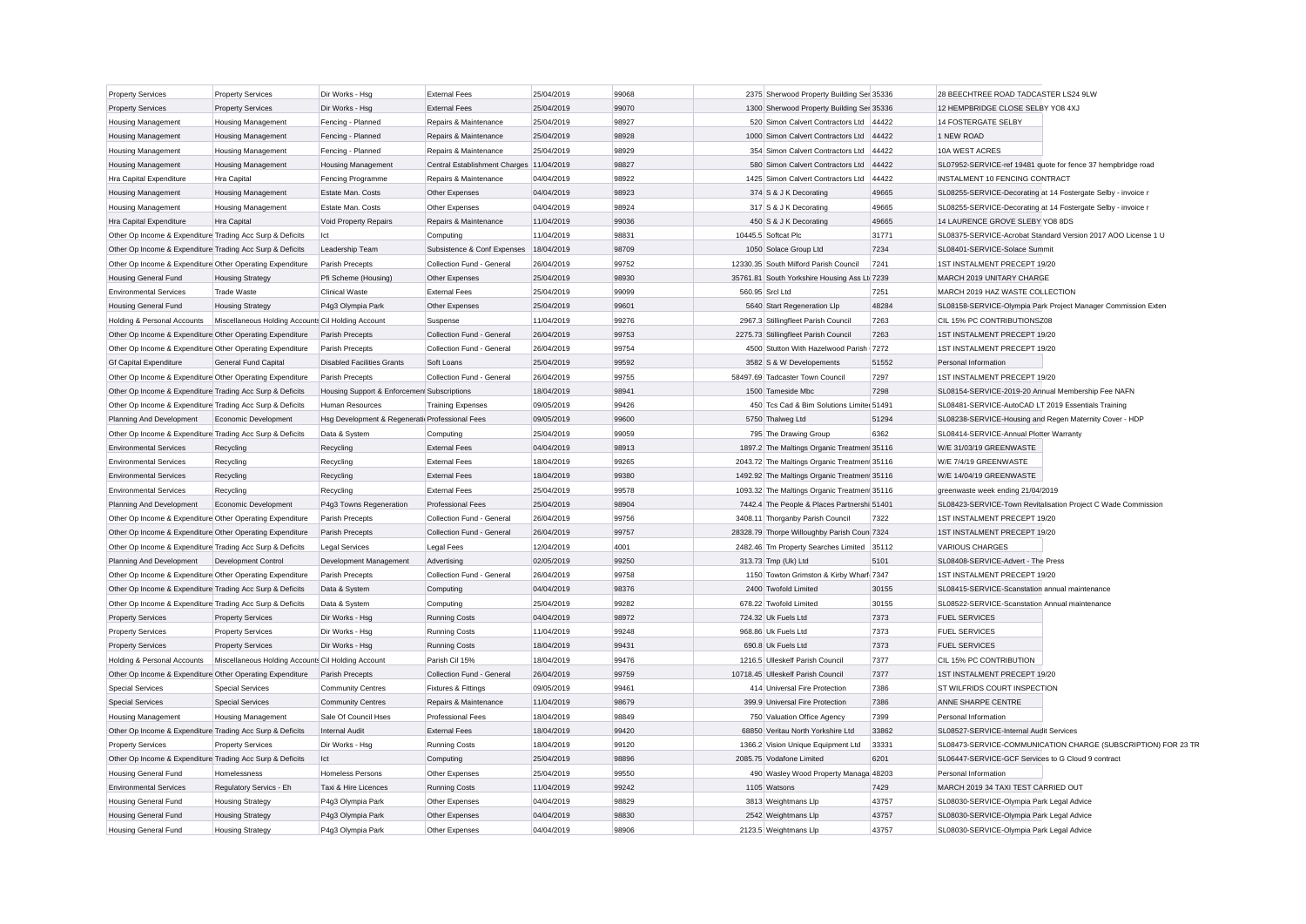| <b>Property Services</b>                                  | <b>Property Services</b>                           | Dir Works - Hsg                                | <b>External Fees</b>                     | 25/04/2019 | 99068 |                 | 2375 Sherwood Property Building Ser 35336    |       | 28 BEECHTREE ROAD TADCASTER LS24 9LW                          |                                                               |
|-----------------------------------------------------------|----------------------------------------------------|------------------------------------------------|------------------------------------------|------------|-------|-----------------|----------------------------------------------|-------|---------------------------------------------------------------|---------------------------------------------------------------|
| <b>Property Services</b>                                  | <b>Property Services</b>                           | Dir Works - Hsg                                | <b>External Fees</b>                     | 25/04/2019 | 99070 |                 | 1300 Sherwood Property Building Ser 35336    |       | 12 HEMPBRIDGE CLOSE SELBY YO8 4XJ                             |                                                               |
| <b>Housing Management</b>                                 | <b>Housing Management</b>                          | Fencing - Planned                              | Repairs & Maintenance                    | 25/04/2019 | 98927 |                 | 520 Simon Calvert Contractors Ltd            | 44422 | <b>14 FOSTERGATE SELBY</b>                                    |                                                               |
| <b>Housing Management</b>                                 | <b>Housing Management</b>                          | Fencing - Planned                              | Repairs & Maintenance                    | 25/04/2019 | 98928 |                 | 1000 Simon Calvert Contractors Ltd           | 44422 | 1 NEW ROAD                                                    |                                                               |
| <b>Housing Management</b>                                 | <b>Housing Management</b>                          | Fencing - Planned                              | Repairs & Maintenance                    | 25/04/2019 | 98929 |                 | 354 Simon Calvert Contractors Ltd            | 44422 | 10A WEST ACRES                                                |                                                               |
| <b>Housing Management</b>                                 | <b>Housing Management</b>                          | <b>Housing Management</b>                      | Central Establishment Charges 11/04/2019 |            | 98827 |                 | 580 Simon Calvert Contractors Ltd            | 44422 |                                                               | SL07952-SERVICE-ref 19481 quote for fence 37 hempbridge road  |
| Hra Capital Expenditure                                   | Hra Capital                                        | Fencing Programme                              | Repairs & Maintenance                    | 04/04/2019 | 98922 |                 | 1425 Simon Calvert Contractors Ltd           | 44422 | INSTALMENT 10 FENCING CONTRACT                                |                                                               |
| <b>Housing Management</b>                                 | <b>Housing Management</b>                          | Estate Man. Costs                              | Other Expenses                           | 04/04/2019 | 98923 |                 | 374 S & J K Decorating                       | 49665 | SL08255-SERVICE-Decorating at 14 Fostergate Selby - invoice r |                                                               |
| <b>Housing Management</b>                                 | <b>Housing Management</b>                          | Estate Man, Costs                              | Other Expenses                           | 04/04/2019 | 98924 |                 | 317 S & J K Decorating                       | 49665 | SL08255-SERVICE-Decorating at 14 Fostergate Selby - invoice r |                                                               |
| Hra Capital Expenditure                                   | Hra Capital                                        | Void Property Repairs                          | Repairs & Maintenance                    | 11/04/2019 | 99036 |                 | 450 S & J K Decorating                       | 49665 | 14 LAURENCE GROVE SLEBY YO8 8DS                               |                                                               |
| Other Op Income & Expenditure Trading Acc Surp & Deficits |                                                    | lct                                            | Computing                                | 11/04/2019 | 98831 |                 | 10445.5 Softcat Plc                          | 31771 |                                                               | SL08375-SERVICE-Acrobat Standard Version 2017 AOO License 1 U |
| Other Op Income & Expenditure Trading Acc Surp & Deficits |                                                    | Leadership Team                                | Subsistence & Conf Expenses              | 18/04/2019 | 98709 |                 | 1050 Solace Group Ltd                        | 7234  | SL08401-SERVICE-Solace Summit                                 |                                                               |
| Other Op Income & Expenditure Other Operating Expenditure |                                                    | Parish Precepts                                | Collection Fund - General                | 26/04/2019 | 99752 |                 | 12330.35 South Milford Parish Council        | 7241  | 1ST INSTALMENT PRECEPT 19/20                                  |                                                               |
| <b>Housing General Fund</b>                               | <b>Housing Strategy</b>                            | Pfi Scheme (Housing)                           | Other Expenses                           | 25/04/2019 | 98930 |                 | 35761.81 South Yorkshire Housing Ass Lt 7239 |       | MARCH 2019 UNITARY CHARGE                                     |                                                               |
| <b>Environmental Services</b>                             | <b>Trade Waste</b>                                 | <b>Clinical Waste</b>                          | <b>External Fees</b>                     | 25/04/2019 | 99099 | 560.95 Srcl Ltd |                                              | 7251  | MARCH 2019 HAZ WASTE COLLECTION                               |                                                               |
| <b>Housing General Fund</b>                               | <b>Housing Strategy</b>                            | P4g3 Olympia Park                              | Other Expenses                           | 25/04/2019 | 99601 |                 | 5640 Start Regeneration Llp                  | 48284 |                                                               | SL08158-SERVICE-Olympia Park Project Manager Commission Exten |
| Holding & Personal Accounts                               | Miscellaneous Holding Accounts Cil Holding Account |                                                | Suspense                                 | 11/04/2019 | 99276 |                 | 2967.3 Stillingfleet Parish Council          | 7263  | CIL 15% PC CONTRIBUTIONSZ08                                   |                                                               |
| Other Op Income & Expenditure Other Operating Expenditure |                                                    | Parish Precepts                                | Collection Fund - General                | 26/04/2019 | 99753 |                 | 2275.73 Stillingfleet Parish Council         | 7263  | 1ST INSTALMENT PRECEPT 19/20                                  |                                                               |
| Other Op Income & Expenditure Other Operating Expenditure |                                                    | Parish Precepts                                | Collection Fund - General                | 26/04/2019 | 99754 |                 | 4500 Stutton With Hazelwood Parish 7272      |       | 1ST INSTALMENT PRECEPT 19/20                                  |                                                               |
| <b>Gf Capital Expenditure</b>                             | General Fund Capital                               | <b>Disabled Facilities Grants</b>              | Soft Loans                               | 25/04/2019 | 99592 |                 | 3582 S & W Developements                     | 51552 | Personal Information                                          |                                                               |
| Other Op Income & Expenditure Other Operating Expenditure |                                                    | Parish Precepts                                | Collection Fund - General                | 26/04/2019 | 99755 |                 | 58497.69 Tadcaster Town Council              | 7297  | 1ST INSTALMENT PRECEPT 19/20                                  |                                                               |
| Other Op Income & Expenditure Trading Acc Surp & Deficits |                                                    | Housing Support & Enforcemen Subscriptions     |                                          | 18/04/2019 | 98941 |                 | 1500 Tameside Mbc                            | 7298  | SL08154-SERVICE-2019-20 Annual Membership Fee NAFN            |                                                               |
| Other Op Income & Expenditure Trading Acc Surp & Deficits |                                                    | <b>Human Resources</b>                         | <b>Training Expenses</b>                 | 09/05/2019 | 99426 |                 | 450 Tcs Cad & Bim Solutions Limited 51491    |       | SL08481-SERVICE-AutoCAD LT 2019 Essentials Training           |                                                               |
| Planning And Development                                  | Economic Development                               | Hsg Development & Regenerati Professional Fees |                                          | 09/05/2019 | 99600 |                 | 5750 Thalweg Ltd                             | 51294 | SL08238-SERVICE-Housing and Regen Maternity Cover - HDP       |                                                               |
| Other Op Income & Expenditure Trading Acc Surp & Deficits |                                                    | Data & System                                  | Computing                                | 25/04/2019 | 99059 |                 | 795 The Drawing Group                        | 6362  | SL08414-SERVICE-Annual Plotter Warranty                       |                                                               |
| <b>Environmental Services</b>                             | Recycling                                          | Recycling                                      | <b>External Fees</b>                     | 04/04/2019 | 98913 |                 | 1897.2 The Maltings Organic Treatmen 35116   |       | W/E 31/03/19 GREENWASTE                                       |                                                               |
| <b>Environmental Services</b>                             | Recycling                                          | Recycling                                      | <b>External Fees</b>                     | 18/04/2019 | 99265 |                 | 2043.72 The Maltings Organic Treatmen 35116  |       | W/E 7/4/19 GREENWASTE                                         |                                                               |
| <b>Environmental Services</b>                             | Recycling                                          | Recycling                                      | <b>External Fees</b>                     | 18/04/2019 | 99380 |                 | 1492.92 The Maltings Organic Treatmen 35116  |       | W/E 14/04/19 GREENWASTE                                       |                                                               |
| <b>Environmental Services</b>                             | Recycling                                          | Recycling                                      | <b>External Fees</b>                     | 25/04/2019 | 99578 |                 | 1093.32 The Maltings Organic Treatmen 35116  |       | greenwaste week ending 21/04/2019                             |                                                               |
| Planning And Development                                  | Economic Development                               | P4g3 Towns Regeneration                        | <b>Professional Fees</b>                 | 25/04/2019 | 98904 |                 | 7442.4 The People & Places Partnershi 51401  |       |                                                               | SL08423-SERVICE-Town Revitalisation Project C Wade Commission |
| Other Op Income & Expenditure Other Operating Expenditure |                                                    | Parish Precepts                                | Collection Fund - General                | 26/04/2019 | 99756 |                 | 3408.11 Thorganby Parish Council             | 7322  | 1ST INSTALMENT PRECEPT 19/20                                  |                                                               |
| Other Op Income & Expenditure Other Operating Expenditure |                                                    | Parish Precepts                                | Collection Fund - General                | 26/04/2019 | 99757 |                 | 28328.79 Thorpe Willoughby Parish Coun 7324  |       | 1ST INSTALMENT PRECEPT 19/20                                  |                                                               |
| Other Op Income & Expenditure Trading Acc Surp & Deficits |                                                    | <b>Legal Services</b>                          | Legal Fees                               | 12/04/2019 | 4001  |                 | 2482.46 Tm Property Searches Limited 35112   |       | VARIOUS CHARGES                                               |                                                               |
| Planning And Development                                  | Development Control                                | Development Management                         | Advertising                              | 02/05/2019 | 99250 |                 | 313.73 Tmp (Uk) Ltd                          | 5101  | SL08408-SERVICE-Advert - The Press                            |                                                               |
| Other Op Income & Expenditure Other Operating Expenditure |                                                    | Parish Precepts                                | Collection Fund - General                | 26/04/2019 | 99758 |                 | 1150 Towton Grimston & Kirby Wharf 7347      |       | 1ST INSTALMENT PRECEPT 19/20                                  |                                                               |
| Other Op Income & Expenditure Trading Acc Surp & Deficits |                                                    | Data & System                                  | Computing                                | 04/04/2019 | 98376 |                 | 2400 Twofold Limited                         | 30155 | SL08415-SERVICE-Scanstation annual maintenance                |                                                               |
| Other Op Income & Expenditure Trading Acc Surp & Deficits |                                                    | Data & System                                  | Computing                                | 25/04/2019 | 99282 |                 | 678.22 Twofold Limited                       | 30155 | SL08522-SERVICE-Scanstation Annual maintenance                |                                                               |
| <b>Property Services</b>                                  | <b>Property Services</b>                           |                                                | <b>Running Costs</b>                     | 04/04/2019 | 98972 |                 | 724.32 Uk Fuels Ltd                          | 7373  | <b>FUEL SERVICES</b>                                          |                                                               |
| <b>Property Services</b>                                  | <b>Property Services</b>                           | Dir Works - Hsg<br>Dir Works - Hsa             | <b>Running Costs</b>                     | 11/04/2019 | 99248 |                 | 968.86 Uk Fuels Ltd                          | 7373  | <b>FUEL SERVICES</b>                                          |                                                               |
| <b>Property Services</b>                                  | <b>Property Services</b>                           | Dir Works - Hsg                                | <b>Running Costs</b>                     | 18/04/2019 | 99431 |                 | 690.8 Uk Fuels Ltd                           | 7373  | <b>FUEL SERVICES</b>                                          |                                                               |
| Holding & Personal Accounts                               |                                                    |                                                | Parish Cil 15%                           | 18/04/2019 | 99476 |                 | 1216.5 Ulleskelf Parish Council              | 7377  | CIL 15% PC CONTRIBUTION                                       |                                                               |
| Other Op Income & Expenditure Other Operating Expenditure | Miscellaneous Holding Accounts Cil Holding Account | Parish Precepts                                | Collection Fund - General                | 26/04/2019 | 99759 |                 | 10718.45 Ulleskelf Parish Council            | 7377  | 1ST INSTALMENT PRECEPT 19/20                                  |                                                               |
| <b>Special Services</b>                                   | <b>Special Services</b>                            |                                                |                                          | 09/05/2019 | 99461 |                 | 414 Universal Fire Protection                | 7386  | ST WILFRIDS COURT INSPECTION                                  |                                                               |
|                                                           |                                                    | Community Centres                              | <b>Fixtures &amp; Fittings</b>           |            |       |                 |                                              |       |                                                               |                                                               |
| <b>Special Services</b>                                   | <b>Special Services</b>                            | <b>Community Centres</b>                       | Repairs & Maintenance                    | 11/04/2019 | 98679 |                 | 399.9 Universal Fire Protection              | 7386  | ANNE SHARPE CENTRE                                            |                                                               |
| <b>Housing Management</b>                                 | <b>Housing Management</b>                          | Sale Of Council Hses                           | <b>Professional Fees</b>                 | 18/04/2019 | 98849 |                 | 750 Valuation Office Agency                  | 7399  | Personal Information                                          |                                                               |
| Other Op Income & Expenditure Trading Acc Surp & Deficits |                                                    | Internal Audit                                 | <b>External Fees</b>                     | 18/04/2019 | 99420 |                 | 68850 Veritau North Yorkshire Ltd            | 33862 | SL08527-SERVICE-Internal Audit Services                       |                                                               |
| <b>Property Services</b>                                  | <b>Property Services</b>                           | Dir Works - Hsg                                | <b>Running Costs</b>                     | 18/04/2019 | 99120 |                 | 1366.2 Vision Unique Equipment Ltd           | 33331 |                                                               | SL08473-SERVICE-COMMUNICATION CHARGE (SUBSCRIPTION) FOR 23 TR |
| Other Op Income & Expenditure Trading Acc Surp & Deficits |                                                    | Ict                                            | Computing                                | 25/04/2019 | 98896 |                 | 2085.75 Vodafone Limited                     | 6201  | SL06447-SERVICE-GCF Services to G Cloud 9 contract            |                                                               |
| <b>Housing General Fund</b>                               | Homelessness                                       | Homeless Persons                               | Other Expenses                           | 25/04/2019 | 99550 |                 | 490 Wasley Wood Property Managa 48203        |       | Personal Information                                          |                                                               |
| <b>Environmental Services</b>                             | Regulatory Servics - Eh                            | Taxi & Hire Licences                           | <b>Running Costs</b>                     | 11/04/2019 | 99242 |                 | 1105 Watsons                                 | 7429  | MARCH 2019 34 TAXI TEST CARRIED OUT                           |                                                               |
| <b>Housing General Fund</b>                               | <b>Housing Strategy</b>                            | P4q3 Olympia Park                              | Other Expenses                           | 04/04/2019 | 98829 |                 | 3813 Weightmans Llp                          | 43757 | SL08030-SERVICE-Olympia Park Legal Advice                     |                                                               |
| <b>Housing General Fund</b>                               | <b>Housing Strategy</b>                            | P4q3 Olympia Park                              | Other Expenses                           | 04/04/2019 | 98830 |                 | 2542 Weightmans Llp                          | 43757 | SL08030-SERVICE-Olympia Park Legal Advice                     |                                                               |
| <b>Housing General Fund</b>                               | <b>Housing Strategy</b>                            | P4q3 Olympia Park                              | Other Expenses                           | 04/04/2019 | 98906 |                 | 2123.5 Weightmans Llp                        | 43757 | SL08030-SERVICE-Olympia Park Legal Advice                     |                                                               |